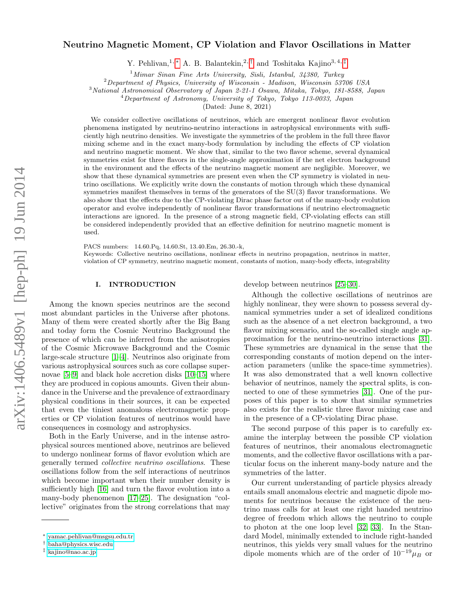# arXiv:1406.5489v1 [hep-ph] 19 Jun 2014 arXiv:1406.5489v1 [hep-ph] 19 Jun 2014

# Neutrino Magnetic Moment, CP Violation and Flavor Oscillations in Matter

Y. Pehlivan,<sup>1, \*</sup> A. B. Balantekin,<sup>2, [†](#page-0-1)</sup> and Toshitaka Kajino<sup>3, 4, [‡](#page-0-2)</sup>

 $1$ Mimar Sinan Fine Arts University, Sisli, Istanbul, 34380, Turkey

<sup>2</sup>Department of Physics, University of Wisconsin - Madison, Wisconsin 53706 USA

<sup>3</sup>National Astronomical Observatory of Japan 2-21-1 Osawa, Mitaka, Tokyo, 181-8588, Japan

 $^{4}$ Department of Astronomy, University of Tokyo, Tokyo 113-0033, Japan

(Dated: June 8, 2021)

We consider collective oscillations of neutrinos, which are emergent nonlinear flavor evolution phenomena instigated by neutrino-neutrino interactions in astrophysical environments with sufficiently high neutrino densities. We investigate the symmetries of the problem in the full three flavor mixing scheme and in the exact many-body formulation by including the effects of CP violation and neutrino magnetic moment. We show that, similar to the two flavor scheme, several dynamical symmetries exist for three flavors in the single-angle approximation if the net electron background in the environment and the effects of the neutrino magnetic moment are negligible. Moreover, we show that these dynamical symmetries are present even when the CP symmetry is violated in neutrino oscillations. We explicitly write down the constants of motion through which these dynamical symmetries manifest themselves in terms of the generators of the SU(3) flavor transformations. We also show that the effects due to the CP-violating Dirac phase factor out of the many-body evolution operator and evolve independently of nonlinear flavor transformations if neutrino electromagnetic interactions are ignored. In the presence of a strong magnetic field, CP-violating effects can still be considered independently provided that an effective definition for neutrino magnetic moment is used.

PACS numbers: 14.60.Pq, 14.60.St, 13.40.Em, 26.30.-k, Keywords: Collective neutrino oscillations, nonlinear effects in neutrino propagation, neutrinos in matter, violation of CP symmetry, neutrino magnetic moment, constants of motion, many-body effects, integrability

# I. INTRODUCTION

Among the known species neutrinos are the second most abundant particles in the Universe after photons. Many of them were created shortly after the Big Bang and today form the Cosmic Neutrino Background the presence of which can be inferred from the anisotropies of the Cosmic Microwave Background and the Cosmic large-scale structure [\[1](#page-15-0)[–4\]](#page-15-1). Neutrinos also originate from various astrophysical sources such as core collapse supernovae [\[5](#page-15-2)[–9\]](#page-15-3) and black hole accretion disks [\[10](#page-15-4)[–15\]](#page-15-5) where they are produced in copious amounts. Given their abundance in the Universe and the prevalence of extraordinary physical conditions in their sources, it can be expected that even the tiniest anomalous electromagnetic properties or CP violation features of neutrinos would have consequences in cosmology and astrophysics.

Both in the Early Universe, and in the intense astrophysical sources mentioned above, neutrinos are believed to undergo nonlinear forms of flavor evolution which are generally termed collective neutrino oscillations. These oscillations follow from the self interactions of neutrinos which become important when their number density is sufficiently high [\[16\]](#page-15-6) and turn the flavor evolution into a many-body phenomenon [\[17](#page-15-7)[–25\]](#page-15-8). The designation "collective" originates from the strong correlations that may develop between neutrinos [\[25–](#page-15-8)[30\]](#page-15-9).

Although the collective oscillations of neutrinos are highly nonlinear, they were shown to possess several dynamical symmetries under a set of idealized conditions such as the absence of a net electron background, a two flavor mixing scenario, and the so-called single angle approximation for the neutrino-neutrino interactions [\[31\]](#page-16-0). These symmetries are dynamical in the sense that the corresponding constants of motion depend on the interaction parameters (unlike the space-time symmetries). It was also demonstrated that a well known collective behavior of neutrinos, namely the spectral splits, is connected to one of these symmetries [\[31\]](#page-16-0). One of the purposes of this paper is to show that similar symmetries also exists for the realistic three flavor mixing case and in the presence of a CP-violating Dirac phase.

The second purpose of this paper is to carefully examine the interplay between the possible CP violation features of neutrinos, their anomalous electromagnetic moments, and the collective flavor oscillations with a particular focus on the inherent many-body nature and the symmetries of the latter.

Our current understanding of particle physics already entails small anomalous electric and magnetic dipole moments for neutrinos because the existence of the neutrino mass calls for at least one right handed neutrino degree of freedom which allows the neutrino to couple to photon at the one loop level [\[32,](#page-16-1) [33\]](#page-16-2). In the Standard Model, minimally extended to include right-handed neutrinos, this yields very small values for the neutrino dipole moments which are of the order of  $10^{-19}\mu_B$  or

<span id="page-0-0"></span><sup>∗</sup> [yamac.pehlivan@msgsu.edu.tr](mailto:yamac.pehlivan@msgsu.edu.tr)

<span id="page-0-1"></span><sup>†</sup> [baha@physics.wisc.edu](mailto:baha@physics.wisc.edu)

<span id="page-0-2"></span><sup>‡</sup> [kajino@nao.ac.jp](mailto:kajino@nao.ac.jp)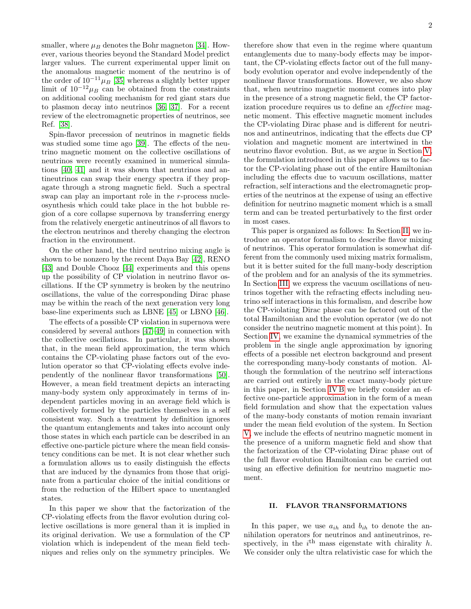smaller, where  $\mu_B$  denotes the Bohr magneton [\[34\]](#page-16-3). However, various theories beyond the Standard Model predict larger values. The current experimental upper limit on the anomalous magnetic moment of the neutrino is of the order of  $10^{-11}\mu_B$  [\[35\]](#page-16-4) whereas a slightly better upper limit of  $10^{-12}\mu_B$  can be obtained from the constraints on additional cooling mechanism for red giant stars due to plasmon decay into neutrinos [\[36,](#page-16-5) [37\]](#page-16-6). For a recent review of the electromagnetic properties of neutrinos, see Ref. [\[38\]](#page-16-7).

Spin-flavor precession of neutrinos in magnetic fields was studied some time ago [\[39\]](#page-16-8). The effects of the neutrino magnetic moment on the collective oscillations of neutrinos were recently examined in numerical simulations [\[40,](#page-16-9) [41\]](#page-16-10) and it was shown that neutrinos and antineutrinos can swap their energy spectra if they propagate through a strong magnetic field. Such a spectral swap can play an important role in the r-process nucleosynthesis which could take place in the hot bubble region of a core collapse supernova by transferring energy from the relatively energetic antineutrinos of all flavors to the electron neutrinos and thereby changing the electron fraction in the environment.

On the other hand, the third neutrino mixing angle is shown to be nonzero by the recent Daya Bay [\[42\]](#page-16-11), RENO [\[43\]](#page-16-12) and Double Chooz [\[44\]](#page-16-13) experiments and this opens up the possibility of CP violation in neutrino flavor oscillations. If the CP symmetry is broken by the neutrino oscillations, the value of the corresponding Dirac phase may be within the reach of the next generation very long base-line experiments such as LBNE [\[45\]](#page-16-14) or LBNO [\[46\]](#page-16-15).

The effects of a possible CP violation in supernova were considered by several authors [\[47–](#page-16-16)[49\]](#page-16-17) in connection with the collective oscillations. In particular, it was shown that, in the mean field approximation, the term which contains the CP-violating phase factors out of the evolution operator so that CP-violating effects evolve independently of the nonlinear flavor transformations [\[50\]](#page-16-18). However, a mean field treatment depicts an interacting many-body system only approximately in terms of independent particles moving in an average field which is collectively formed by the particles themselves in a self consistent way. Such a treatment by definition ignores the quantum entanglements and takes into account only those states in which each particle can be described in an effective one-particle picture where the mean field consistency conditions can be met. It is not clear whether such a formulation allows us to easily distinguish the effects that are induced by the dynamics from those that originate from a particular choice of the initial conditions or from the reduction of the Hilbert space to unentangled states.

In this paper we show that the factorization of the CP-violating effects from the flavor evolution during collective oscillations is more general than it is implied in its original derivation. We use a formulation of the CP violation which is independent of the mean field techniques and relies only on the symmetry principles. We

therefore show that even in the regime where quantum entanglements due to many-body effects may be important, the CP-violating effects factor out of the full manybody evolution operator and evolve independently of the nonlinear flavor transformations. However, we also show that, when neutrino magnetic moment comes into play in the presence of a strong magnetic field, the CP factorization procedure requires us to define an effective magnetic moment. This effective magnetic moment includes the CP-violating Dirac phase and is different for neutrinos and antineutrinos, indicating that the effects due CP violation and magnetic moment are intertwined in the neutrino flavor evolution. But, as we argue in Section [V,](#page-10-0) the formulation introduced in this paper allows us to factor the CP-violating phase out of the entire Hamiltonian including the effects due to vacuum oscillations, matter refraction, self interactions and the electromagnetic properties of the neutrinos at the expense of using an effective definition for neutrino magnetic moment which is a small term and can be treated perturbatively to the first order in most cases.

This paper is organized as follows: In Section [II,](#page-1-0) we introduce an operator formalism to describe flavor mixing of neutrinos. This operator formulation is somewhat different from the commonly used mixing matrix formalism, but it is better suited for the full many-body description of the problem and for an analysis of the its symmetries. In Section [III,](#page-4-0) we express the vacuum oscillations of neutrinos together with the refracting effects including neutrino self interactions in this formalism, and describe how the CP-violating Dirac phase can be factored out of the total Hamiltonian and the evolution operator (we do not consider the neutrino magnetic moment at this point). In Section [IV,](#page-7-0) we examine the dynamical symmetries of the problem in the single angle approximation by ignoring effects of a possible net electron background and present the corresponding many-body constants of motion. Although the formulation of the neutrino self interactions are carried out entirely in the exact many-body picture in this paper, in Section [IV B](#page-8-0) we briefly consider an effective one-particle approximation in the form of a mean field formulation and show that the expectation values of the many-body constants of motion remain invariant under the mean field evolution of the system. In Section [V,](#page-10-0) we include the effects of neutrino magnetic moment in the presence of a uniform magnetic field and show that the factorization of the CP-violating Dirac phase out of the full flavor evolution Hamiltonian can be carried out using an effective definition for neutrino magnetic moment.

## <span id="page-1-0"></span>II. FLAVOR TRANSFORMATIONS

In this paper, we use  $a_{ih}$  and  $b_{ih}$  to denote the annihilation operators for neutrinos and antineutrinos, respectively, in the  $i^{\text{th}}$  mass eigenstate with chirality h. We consider only the ultra relativistic case for which the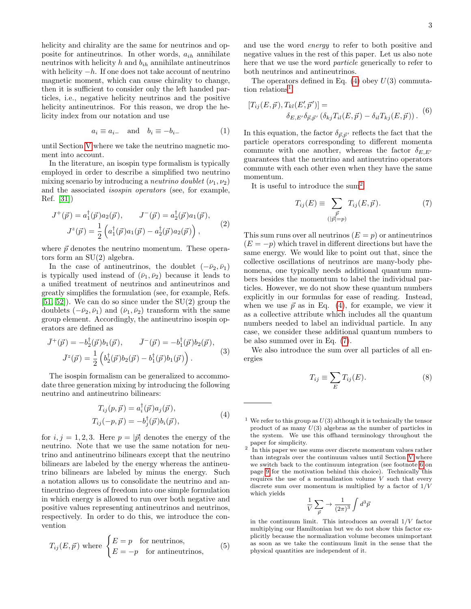helicity and chirality are the same for neutrinos and opposite for antineutrinos. In other words,  $a_{ih}$  annihilate neutrinos with helicity  $h$  and  $b_{ih}$  annihilate antineutrinos with helicity  $-h$ . If one does not take account of neutrino magnetic moment, which can cause chirality to change, then it is sufficient to consider only the left handed particles, i.e., negative helicity neutrinos and the positive helicity antineutrinos. For this reason, we drop the helicity index from our notation and use

<span id="page-2-8"></span>
$$
a_i \equiv a_{i-} \quad \text{and} \quad b_i \equiv -b_{i-} \tag{1}
$$

until Section [V](#page-10-0) where we take the neutrino magnetic moment into account.

In the literature, an isospin type formalism is typically employed in order to describe a simplified two neutrino mixing scenario by introducing a *neutrino doublet*  $(\nu_1, \nu_2)$ and the associated isospin operators (see, for example, Ref. [\[31\]](#page-16-0))

<span id="page-2-5"></span>
$$
J^+(\vec{p}) = a_1^{\dagger}(\vec{p})a_2(\vec{p}), \qquad J^-(\vec{p}) = a_2^{\dagger}(\vec{p})a_1(\vec{p}),
$$
  

$$
J^z(\vec{p}) = \frac{1}{2} \left( a_1^{\dagger}(\vec{p})a_1(\vec{p}) - a_2^{\dagger}(\vec{p})a_2(\vec{p}) \right),
$$
 (2)

where  $\vec{p}$  denotes the neutrino momentum. These operators form an SU(2) algebra.

In the case of antineutrinos, the doublet  $(-\bar{\nu}_2, \bar{\nu}_1)$ is typically used instead of  $(\bar{\nu}_1, \bar{\nu}_2)$  because it leads to a unified treatment of neutrinos and antineutrinos and greatly simplifies the formulation (see, for example, Refs. [\[51,](#page-16-19) [52\]](#page-16-20)). We can do so since under the SU(2) group the doublets  $(-\bar{\nu}_2, \bar{\nu}_1)$  and  $(\bar{\nu}_1, \bar{\nu}_2)$  transform with the same group element. Accordingly, the antineutrino isospin operators are defined as

<span id="page-2-6"></span>
$$
\bar{J}^+(\vec{p}) = -b_2^{\dagger}(\vec{p})b_1(\vec{p}), \qquad \bar{J}^-(\vec{p}) = -b_1^{\dagger}(\vec{p})b_2(\vec{p}), \bar{J}^z(\vec{p}) = \frac{1}{2}\left(b_2^{\dagger}(\vec{p})b_2(\vec{p}) - b_1^{\dagger}(\vec{p})b_1(\vec{p})\right).
$$
\n(3)

The isospin formalism can be generalized to accommodate three generation mixing by introducing the following neutrino and antineutrino bilinears:

$$
T_{ij}(p, \vec{p}) = a_i^{\dagger}(\vec{p})a_j(\vec{p}),
$$
  
\n
$$
T_{ij}(-p, \vec{p}) = -b_j^{\dagger}(\vec{p})b_i(\vec{p}),
$$
\n(4)

<span id="page-2-0"></span>for  $i, j = 1, 2, 3$ . Here  $p = |\vec{p}|$  denotes the energy of the neutrino. Note that we use the same notation for neutrino and antineutrino bilinears except that the neutrino bilinears are labeled by the energy whereas the antineutrino bilinears are labeled by minus the energy. Such a notation allows us to consolidate the neutrino and antineutrino degrees of freedom into one simple formulation in which energy is allowed to run over both negative and positive values representing antineutrinos and neutrinos, respectively. In order to do this, we introduce the convention

$$
T_{ij}(E, \vec{p}) \text{ where } \begin{cases} E = p & \text{for neutrinos,} \\ E = -p & \text{for antineutrinos,} \end{cases}
$$
 (5)

and use the word energy to refer to both positive and negative values in the rest of this paper. Let us also note here that we use the word particle generically to refer to both neutrinos and antineutrinos.

The operators defined in Eq.  $(4)$  obey  $U(3)$  commuta-tion relations<sup>[1](#page-2-1)</sup>

<span id="page-2-7"></span>
$$
[T_{ij}(E,\vec{p}),T_{kl}(E',\vec{p}')]=\delta_{E,E'}\delta_{\vec{p},\vec{p}'}(\delta_{kj}T_{il}(E,\vec{p})-\delta_{il}T_{kj}(E,\vec{p})).
$$
 (6)

In this equation, the factor  $\delta_{\vec{p},\vec{p}'}$  reflects the fact that the particle operators corresponding to different momenta commute with one another, whereas the factor  $\delta_{E,E}$ guarantees that the neutrino and antineutrino operators commute with each other even when they have the same momentum.

It is useful to introduce the sum<sup>[2](#page-2-2)</sup>

<span id="page-2-3"></span>
$$
T_{ij}(E) \equiv \sum_{\substack{\vec{p} \ p(\|\vec{p}\|=p)}} T_{ij}(E, \vec{p}). \tag{7}
$$

This sum runs over all neutrinos  $(E = p)$  or antineutrinos  $(E = -p)$  which travel in different directions but have the same energy. We would like to point out that, since the collective oscillations of neutrinos are many-body phenomena, one typically needs additional quantum numbers besides the momentum to label the individual particles. However, we do not show these quantum numbers explicitly in our formulas for ease of reading. Instead, when we use  $\vec{p}$  as in Eq. [\(4\)](#page-2-0), for example, we view it as a collective attribute which includes all the quantum numbers needed to label an individual particle. In any case, we consider these additional quantum numbers to be also summed over in Eq. [\(7\)](#page-2-3).

We also introduce the sum over all particles of all energies

<span id="page-2-4"></span>
$$
T_{ij} \equiv \sum_{E} T_{ij}(E). \tag{8}
$$

$$
\frac{1}{V} \sum_{\vec{p}} \rightarrow \frac{1}{(2\pi)^3} \int d^3 \vec{p}
$$

in the continuum limit. This introduces an overall  $1/V$  factor multiplying our Hamiltonian but we do not show this factor explicitly because the normalization volume becomes unimportant as soon as we take the continuum limit in the sense that the physical quantities are independent of it.

<span id="page-2-1"></span><sup>&</sup>lt;sup>1</sup> We refer to this group as  $U(3)$  although it is technically the tensor product of as many  $U(3)$  algebras as the number of particles in the system. We use this offhand terminology throughout the paper for simplicity.

<span id="page-2-2"></span><sup>2</sup> In this paper we use sums over discrete momentum values rather than integrals over the continuum values until Section [V](#page-10-0) where we switch back to the continuum integration (see footnote [6](#page-8-1) on page [9](#page-8-1) for the motivation behind this choice). Technically this requires the use of a normalization volume  $V$  such that every discrete sum over momentum is multiplied by a factor of  $1/V$ which yields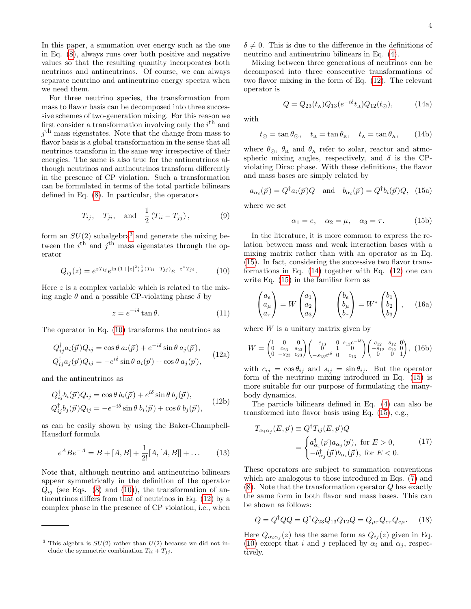In this paper, a summation over energy such as the one in Eq. [\(8\)](#page-2-4), always runs over both positive and negative values so that the resulting quantity incorporates both neutrinos and antineutrinos. Of course, we can always separate neutrino and antineutrino energy spectra when we need them.

For three neutrino species, the transformation from mass to flavor basis can be decomposed into three successive schemes of two-generation mixing. For this reason we first consider a transformation involving only the  $i<sup>th</sup>$  and  $j<sup>th</sup>$  mass eigenstates. Note that the change from mass to flavor basis is a global transformation in the sense that all neutrinos transform in the same way irrespective of their energies. The same is also true for the antineutrinos although neutrinos and antineutrinos transform differently in the presence of CP violation. Such a transformation can be formulated in terms of the total particle bilinears defined in Eq. [\(8\)](#page-2-4). In particular, the operators

$$
T_{ij}
$$
,  $T_{ji}$ , and  $\frac{1}{2}(T_{ii} - T_{jj})$ , (9)

form an  $SU(2)$  subalgebra<sup>[3](#page-3-0)</sup> and generate the mixing between the  $i<sup>th</sup>$  and  $j<sup>th</sup>$  mass eigenstates through the operator

<span id="page-3-1"></span>
$$
Q_{ij}(z) = e^{zT_{ij}} e^{\ln(1+|z|^2)\frac{1}{2}(T_{ii}-T_{jj})} e^{-z^*T_{ji}}.
$$
 (10)

Here  $z$  is a complex variable which is related to the mixing angle  $\theta$  and a possible CP-violating phase  $\delta$  by

$$
z = e^{-i\delta} \tan \theta. \tag{11}
$$

The operator in Eq. [\(10\)](#page-3-1) transforms the neutrinos as

$$
Q_{ij}^{\dagger} a_i(\vec{p}) Q_{ij} = \cos \theta a_i(\vec{p}) + e^{-i\delta} \sin \theta a_j(\vec{p}),
$$
  
\n
$$
Q_{ij}^{\dagger} a_j(\vec{p}) Q_{ij} = -e^{i\delta} \sin \theta a_i(\vec{p}) + \cos \theta a_j(\vec{p}),
$$
\n(12a)

and the antineutrinos as

$$
Q_{ij}^{\dagger}b_i(\vec{p})Q_{ij} = \cos\theta b_i(\vec{p}) + e^{i\delta}\sin\theta b_j(\vec{p}),
$$
  
\n
$$
Q_{ij}^{\dagger}b_j(\vec{p})Q_{ij} = -e^{-i\delta}\sin\theta b_i(\vec{p}) + \cos\theta b_j(\vec{p}),
$$
\n(12b)

as can be easily shown by using the Baker-Champbell-Hausdorf formula

$$
e^{A}Be^{-A} = B + [A, B] + \frac{1}{2!}[A, [A, B]] + \dots \tag{13}
$$

Note that, although neutrino and antineutrino bilinears appear symmetrically in the definition of the operator  $Q_{ij}$  (see Eqs. [\(8\)](#page-2-4) and [\(10\)](#page-3-1)), the transformation of antineutrinos differs from that of neutrinos in Eq. [\(12\)](#page-3-2) by a complex phase in the presence of CP violation, i.e., when

 $\delta \neq 0$ . This is due to the difference in the definitions of neutrino and antineutrino bilinears in Eq. [\(4\)](#page-2-0).

Mixing between three generations of neutrinos can be decomposed into three consecutive transformations of two flavor mixing in the form of Eq. [\(12\)](#page-3-2). The relevant operator is

<span id="page-3-4"></span>
$$
Q = Q_{23}(t_{\rm A})Q_{13}(e^{-i\delta}t_{\rm R})Q_{12}(t_{\odot}),\tag{14a}
$$

with

$$
t_{\odot} = \tan \theta_{\odot}
$$
,  $t_{\rm R} = \tan \theta_{\rm R}$ ,  $t_{\rm A} = \tan \theta_{\rm A}$ , (14b)

where  $\theta_{\odot}$ ,  $\theta_{\rm R}$  and  $\theta_{\rm A}$  refer to solar, reactor and atmospheric mixing angles, respectively, and  $\delta$  is the CPviolating Dirac phase. With these definitions, the flavor and mass bases are simply related by

$$
a_{\alpha_i}(\vec{p}) = Q^{\dagger} a_i(\vec{p}) Q
$$
 and  $b_{\alpha_i}(\vec{p}) = Q^{\dagger} b_i(\vec{p}) Q$ , (15a)

where we set

<span id="page-3-3"></span>
$$
\alpha_1 = e, \quad \alpha_2 = \mu, \quad \alpha_3 = \tau. \tag{15b}
$$

In the literature, it is more common to express the relation between mass and weak interaction bases with a mixing matrix rather than with an operator as in Eq. [\(15\)](#page-3-3). In fact, considering the successive two flavor transformations in Eq. [\(14\)](#page-3-4) together with Eq. [\(12\)](#page-3-2) one can write Eq. [\(15\)](#page-3-3) in the familiar form as

$$
\begin{pmatrix} a_e \\ a_\mu \\ a_\tau \end{pmatrix} = W \begin{pmatrix} a_1 \\ a_2 \\ a_3 \end{pmatrix} \qquad \begin{pmatrix} b_e \\ b_\mu \\ b_\tau \end{pmatrix} = W^* \begin{pmatrix} b_1 \\ b_2 \\ b_3 \end{pmatrix}, \quad (16a)
$$

<span id="page-3-2"></span>where  $W$  is a unitary matrix given by

$$
W = \begin{pmatrix} 1 & 0 & 0 \\ 0 & c_{23} & s_{23} \\ 0 & -s_{23} & c_{23} \end{pmatrix} \begin{pmatrix} c_{13} & 0 & s_{13}e^{-i\delta} \\ 0 & 1 & 0 \\ -s_{13}e^{i\delta} & 0 & c_{13} \end{pmatrix} \begin{pmatrix} c_{12} & s_{12} & 0 \\ -s_{12} & c_{12} & 0 \\ 0 & 0 & 1 \end{pmatrix}, (16b)
$$

with  $c_{ij} = \cos \theta_{ij}$  and  $s_{ij} = \sin \theta_{ij}$ . But the operator form of the neutrino mixing introduced in Eq. [\(15\)](#page-3-3) is more suitable for our purpose of formulating the manybody dynamics.

The particle bilinears defined in Eq. [\(4\)](#page-2-0) can also be transformed into flavor basis using Eq. [\(15\)](#page-3-3), e.g.,

<span id="page-3-5"></span>
$$
T_{\alpha_i \alpha_j}(E, \vec{p}) \equiv Q^{\dagger} T_{ij}(E, \vec{p}) Q
$$
  
= 
$$
\begin{cases} a^{\dagger}_{\alpha_i}(\vec{p}) a_{\alpha_j}(\vec{p}), \text{ for } E > 0, \\ -b^{\dagger}_{\alpha_j}(\vec{p}) b_{\alpha_i}(\vec{p}), \text{ for } E < 0. \end{cases}
$$
(17)

These operators are subject to summation conventions which are analogous to those introduced in Eqs. [\(7\)](#page-2-3) and [\(8\)](#page-2-4). Note that the transformation operator Q has exactly the same form in both flavor and mass bases. This can be shown as follows:

<span id="page-3-6"></span>
$$
Q = Q^{\dagger} Q Q = Q^{\dagger} Q_{23} Q_{13} Q_{12} Q = Q_{\mu\tau} Q_{e\tau} Q_{e\mu}.
$$
 (18)

Here  $Q_{\alpha_i \alpha_j}(z)$  has the same form as  $Q_{ij}(z)$  given in Eq. [\(10\)](#page-3-1) except that i and j replaced by  $\alpha_i$  and  $\alpha_j$ , respectively.

<span id="page-3-0"></span><sup>&</sup>lt;sup>3</sup> This algebra is  $SU(2)$  rather than  $U(2)$  because we did not include the symmetric combination  $T_{ii} + T_{jj}$ .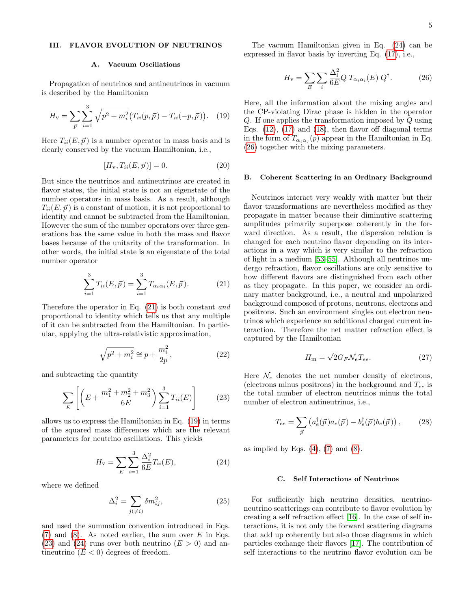# <span id="page-4-0"></span>III. FLAVOR EVOLUTION OF NEUTRINOS

### A. Vacuum Oscillations

Propagation of neutrinos and antineutrinos in vacuum is described by the Hamiltonian

<span id="page-4-2"></span>
$$
H_{\mathbf{v}} = \sum_{\vec{p}} \sum_{i=1}^{3} \sqrt{p^2 + m_i^2} \left( T_{ii}(p, \vec{p}) - T_{ii}(-p, \vec{p}) \right). \tag{19}
$$

Here  $T_{ii}(E, \vec{p})$  is a number operator in mass basis and is clearly conserved by the vacuum Hamiltonian, i.e.,

<span id="page-4-7"></span>
$$
[H_{\mathbf{v}}, T_{ii}(E, \vec{p})] = 0.
$$
 (20)

But since the neutrinos and antineutrinos are created in flavor states, the initial state is not an eigenstate of the number operators in mass basis. As a result, although  $T_{ii}(E, \vec{p})$  is a constant of motion, it is not proportional to identity and cannot be subtracted from the Hamiltonian. However the sum of the number operators over three generations has the same value in both the mass and flavor bases because of the unitarity of the transformation. In other words, the initial state is an eigenstate of the total number operator

<span id="page-4-1"></span>
$$
\sum_{i=1}^{3} T_{ii}(E, \vec{p}) = \sum_{i=1}^{3} T_{\alpha_i \alpha_i}(E, \vec{p}).
$$
 (21)

Therefore the operator in Eq. [\(21\)](#page-4-1) is both constant and proportional to identity which tells us that any multiple of it can be subtracted from the Hamiltonian. In particular, applying the ultra-relativistic approximation,

$$
\sqrt{p^2 + m_i^2} \cong p + \frac{m_i^2}{2p},
$$
\n(22)

and subtracting the quantity

<span id="page-4-3"></span>
$$
\sum_{E} \left[ \left( E + \frac{m_1^2 + m_2^2 + m_3^2}{6E} \right) \sum_{i=1}^3 T_{ii}(E) \right] \tag{23}
$$

allows us to express the Hamiltonian in Eq. [\(19\)](#page-4-2) in terms of the squared mass differences which are the relevant parameters for neutrino oscillations. This yields

<span id="page-4-4"></span>
$$
H_{\rm v} = \sum_{E} \sum_{i=1}^{3} \frac{\Delta_i^2}{6E} T_{ii}(E), \tag{24}
$$

where we defined

$$
\Delta_i^2 = \sum_{j(\neq i)} \delta m_{ij}^2,\tag{25}
$$

and used the summation convention introduced in Eqs.  $(7)$  and  $(8)$ . As noted earlier, the sum over E in Eqs. [\(23\)](#page-4-3) and [\(24\)](#page-4-4) runs over both neutrino  $(E > 0)$  and antineutrino  $(E < 0)$  degrees of freedom.

The vacuum Hamiltonian given in Eq. [\(24\)](#page-4-4) can be expressed in flavor basis by inverting Eq. [\(17\)](#page-3-5), i.e.,

<span id="page-4-5"></span>
$$
H_{\mathbf{v}} = \sum_{E} \sum_{i} \frac{\Delta_i^2}{6E} Q T_{\alpha_i \alpha_i}(E) Q^{\dagger}.
$$
 (26)

Here, all the information about the mixing angles and the CP-violating Dirac phase is hidden in the operator Q. If one applies the transformation imposed by Q using Eqs.  $(12)$ ,  $(17)$  and  $(18)$ , then flavor off diagonal terms in the form of  $T_{\alpha_i \alpha_j}(p)$  appear in the Hamiltonian in Eq. [\(26\)](#page-4-5) together with the mixing parameters.

### B. Coherent Scattering in an Ordinary Background

Neutrinos interact very weakly with matter but their flavor transformations are nevertheless modified as they propagate in matter because their diminutive scattering amplitudes primarily superpose coherently in the forward direction. As a result, the dispersion relation is changed for each neutrino flavor depending on its interactions in a way which is very similar to the refraction of light in a medium [\[53–](#page-16-21)[55\]](#page-16-22). Although all neutrinos undergo refraction, flavor oscillations are only sensitive to how different flavors are distinguished from each other as they propagate. In this paper, we consider an ordinary matter background, i.e., a neutral and unpolarized background composed of protons, neutrons, electrons and positrons. Such an environment singles out electron neutrinos which experience an additional charged current interaction. Therefore the net matter refraction effect is captured by the Hamiltonian

<span id="page-4-6"></span>
$$
H_{\rm m} = \sqrt{2} G_F \mathcal{N}_e T_{ee}.
$$
 (27)

Here  $\mathcal{N}_e$  denotes the net number density of electrons, (electrons minus positrons) in the background and  $T_{ee}$  is the total number of electron neutrinos minus the total number of electron antineutrinos, i.e.,

$$
T_{ee} = \sum_{\vec{p}} \left( a_e^{\dagger}(\vec{p}) a_e(\vec{p}) - b_e^{\dagger}(\vec{p}) b_e(\vec{p}) \right), \qquad (28)
$$

as implied by Eqs.  $(4)$ ,  $(7)$  and  $(8)$ .

### C. Self Interactions of Neutrinos

For sufficiently high neutrino densities, neutrinoneutrino scatterings can contribute to flavor evolution by creating a self refraction effect [\[16\]](#page-15-6). In the case of self interactions, it is not only the forward scattering diagrams that add up coherently but also those diagrams in which particles exchange their flavors [\[17\]](#page-15-7). The contribution of self interactions to the neutrino flavor evolution can be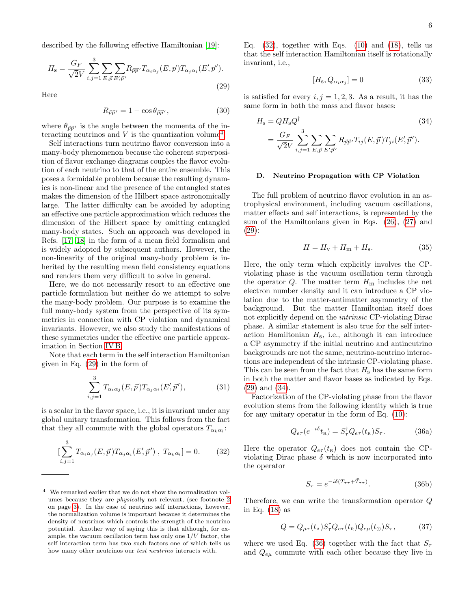described by the following effective Hamiltonian [\[19\]](#page-15-10):

<span id="page-5-1"></span>
$$
H_{\rm s} = \frac{G_F}{\sqrt{2}V} \sum_{i,j=1}^{3} \sum_{E,\vec{p}} \sum_{E',\vec{p}'} R_{\vec{p}\vec{p}'} T_{\alpha_i\alpha_j}(E,\vec{p}) T_{\alpha_j\alpha_i}(E',\vec{p}').
$$
\n(29)

Here

<span id="page-5-9"></span>
$$
R_{\vec{p}\vec{p}'} = 1 - \cos \theta_{\vec{p}\vec{p}'},\tag{30}
$$

where  $\theta_{\vec{p}\vec{p}'}$  is the angle between the momenta of the interacting neutrinos and  $V$  is the quantization volume<sup>[4](#page-5-0)</sup>.

Self interactions turn neutrino flavor conversion into a many-body phenomenon because the coherent superposition of flavor exchange diagrams couples the flavor evolution of each neutrino to that of the entire ensemble. This poses a formidable problem because the resulting dynamics is non-linear and the presence of the entangled states makes the dimension of the Hilbert space astronomically large. The latter difficulty can be avoided by adopting an effective one particle approximation which reduces the dimension of the Hilbert space by omitting entangled many-body states. Such an approach was developed in Refs. [\[17,](#page-15-7) [18\]](#page-15-11) in the form of a mean field formalism and is widely adopted by subsequent authors. However, the non-linearity of the original many-body problem is inherited by the resulting mean field consistency equations and renders them very difficult to solve in general.

Here, we do not necessarily resort to an effective one particle formulation but neither do we attempt to solve the many-body problem. Our purpose is to examine the full many-body system from the perspective of its symmetries in connection with CP violation and dynamical invariants. However, we also study the manifestations of these symmetries under the effective one particle approximation in Section [IV B.](#page-8-0)

Note that each term in the self interaction Hamiltonian given in Eq. [\(29\)](#page-5-1) in the form of

$$
\sum_{i,j=1}^{3} T_{\alpha_i \alpha_j}(E,\vec{p}) T_{\alpha_j \alpha_i}(E',\vec{p}'),\tag{31}
$$

is a scalar in the flavor space, i.e., it is invariant under any global unitary transformation. This follows from the fact that they all commute with the global operators  $T_{\alpha_k \alpha_l}$ :

<span id="page-5-2"></span>
$$
\left[\sum_{i,j=1}^{3} T_{\alpha_i \alpha_j}(E,\vec{p}) T_{\alpha_j \alpha_i}(E',\vec{p}') , T_{\alpha_k \alpha_l}\right] = 0. \qquad (32)
$$

Eq.  $(32)$ , together with Eqs.  $(10)$  and  $(18)$ , tells us that the self interaction Hamiltonian itself is rotationally invariant, i.e.,

<span id="page-5-8"></span>
$$
[H_{\rm s}, Q_{\alpha_i \alpha_j}] = 0 \tag{33}
$$

is satisfied for every  $i, j = 1, 2, 3$ . As a result, it has the same form in both the mass and flavor bases:

<span id="page-5-3"></span>
$$
H_{\rm s} = QH_{\rm s}Q^{\dagger} \tag{34}
$$
  
=  $\frac{G_F}{\sqrt{2}V} \sum_{i,j=1}^{3} \sum_{E,\vec{p}} \sum_{E',\vec{p}'} R_{\vec{p}\vec{p}'} T_{ij}(E,\vec{p}) T_{ji}(E',\vec{p}').$ 

### <span id="page-5-10"></span>D. Neutrino Propagation with CP Violation

The full problem of neutrino flavor evolution in an astrophysical environment, including vacuum oscillations, matter effects and self interactions, is represented by the sum of the Hamiltonians given in Eqs. [\(26\)](#page-4-5), [\(27\)](#page-4-6) and [\(29\)](#page-5-1):

<span id="page-5-7"></span>
$$
H = H_{\rm v} + H_{\rm m} + H_{\rm s}.\tag{35}
$$

Here, the only term which explicitly involves the CPviolating phase is the vacuum oscillation term through the operator Q. The matter term  $H<sub>m</sub>$  includes the net electron number density and it can introduce a CP violation due to the matter-antimatter asymmetry of the background. But the matter Hamiltonian itself does not explicitly depend on the intrinsic CP-violating Dirac phase. A similar statement is also true for the self interaction Hamiltonian  $H_s$ , i.e., although it can introduce a CP asymmetry if the initial neutrino and antineutrino backgrounds are not the same, neutrino-neutrino interactions are independent of the intrinsic CP-violating phase. This can be seen from the fact that  $H_s$  has the same form in both the matter and flavor bases as indicated by Eqs. [\(29\)](#page-5-1) and [\(34\)](#page-5-3).

Factorization of the CP-violating phase from the flavor evolution stems from the following identity which is true for any unitary operator in the form of Eq. [\(10\)](#page-3-1):

<span id="page-5-4"></span>
$$
Q_{e\tau}(e^{-i\delta}t_{\mathbf{R}}) = S_{\tau}^{\dagger}Q_{e\tau}(t_{\mathbf{R}})S_{\tau}.
$$
 (36a)

Here the operator  $Q_{e\tau}(t_{\rm R})$  does not contain the CPviolating Dirac phase  $\delta$  which is now incorporated into the operator

<span id="page-5-6"></span>
$$
S_{\tau} = e^{-i\delta(T_{\tau\tau} + \bar{T}_{\tau\tau})}.
$$
 (36b)

Therefore, we can write the transformation operator Q in Eq. [\(18\)](#page-3-6) as

<span id="page-5-5"></span>
$$
Q = Q_{\mu\tau}(t_{\rm A}) S_{\tau}^{\dagger} Q_{e\tau}(t_{\rm R}) Q_{e\mu}(t_{\odot}) S_{\tau}, \tag{37}
$$

where we used Eq. [\(36\)](#page-5-4) together with the fact that  $S_{\tau}$ and  $Q_{e\mu}$  commute with each other because they live in

<span id="page-5-0"></span><sup>4</sup> We remarked earlier that we do not show the normalization volumes because they are physically not relevant, (see footnote [2](#page-2-2) on page [3\)](#page-2-2). In the case of neutrino self interactions, however, the normalization volume is important because it determines the density of neutrinos which controls the strength of the neutrino potential. Another way of saying this is that although, for example, the vacuum oscillation term has only one  $1/V$  factor, the self interaction term has two such factors one of which tells us how many other neutrinos our *test neutrino* interacts with.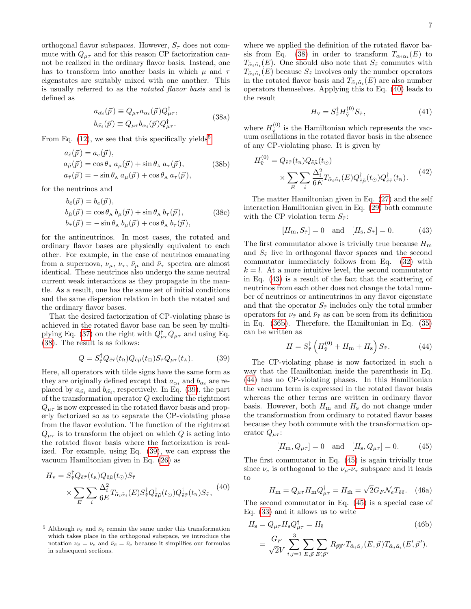orthogonal flavor subspaces. However,  $S_{\tau}$  does not commute with  $Q_{\mu\tau}$  and for this reason CP factorization cannot be realized in the ordinary flavor basis. Instead, one has to transform into another basis in which  $\mu$  and  $\tau$ eigenstates are suitably mixed with one another. This is usually referred to as the rotated flavor basis and is defined as

<span id="page-6-1"></span>
$$
a_{\tilde{\alpha_i}}(\vec{p}) \equiv Q_{\mu\tau} a_{\alpha_i}(\vec{p}) Q_{\mu\tau}^{\dagger}, b_{\tilde{\alpha_i}}(\vec{p}) \equiv Q_{\mu\tau} b_{\alpha_i}(\vec{p}) Q_{\mu\tau}^{\dagger}.
$$
 (38a)

From Eq.  $(12)$ , we see that this specifically yields<sup>[5](#page-6-0)</sup>

$$
a_{\tilde{e}}(\vec{p}) = a_e(\vec{p}),
$$
  
\n
$$
a_{\tilde{\mu}}(\vec{p}) = \cos \theta_A \ a_{\mu}(\vec{p}) + \sin \theta_A \ a_{\tau}(\vec{p}),
$$
\n
$$
a_{\tilde{\tau}}(\vec{p}) = -\sin \theta_A \ a_{\mu}(\vec{p}) + \cos \theta_A \ a_{\tau}(\vec{p}),
$$
\n(38b)

for the neutrinos and

$$
b_{\tilde{e}}(\vec{p}) = b_e(\vec{p}),
$$
  
\n
$$
b_{\tilde{\mu}}(\vec{p}) = \cos \theta_A b_{\mu}(\vec{p}) + \sin \theta_A b_{\tau}(\vec{p}),
$$
  
\n
$$
b_{\tilde{\tau}}(\vec{p}) = -\sin \theta_A b_{\mu}(\vec{p}) + \cos \theta_A b_{\tau}(\vec{p}),
$$
\n(38c)

for the antineutrinos. In most cases, the rotated and ordinary flavor bases are physically equivalent to each other. For example, in the case of neutrinos emanating from a supernova,  $\nu_{\mu}$ ,  $\nu_{\tau}$ ,  $\bar{\nu}_{\mu}$  and  $\bar{\nu}_{\tau}$  spectra are almost identical. These neutrinos also undergo the same neutral current weak interactions as they propagate in the mantle. As a result, one has the same set of initial conditions and the same dispersion relation in both the rotated and the ordinary flavor bases.

That the desired factorization of CP-violating phase is achieved in the rotated flavor base can be seen by multi-plying Eq. [\(37\)](#page-5-5) on the right with  $Q^{\dagger}_{\mu\tau}Q_{\mu\tau}$  and using Eq. [\(38\)](#page-6-1). The result is as follows:

<span id="page-6-2"></span>
$$
Q = S_{\tilde{\tau}}^{\dagger} Q_{\tilde{e}\tilde{\tau}}(t_{\rm R}) Q_{\tilde{e}\tilde{\mu}}(t_{\odot}) S_{\tilde{\tau}} Q_{\mu\tau}(t_{\rm A}). \tag{39}
$$

Here, all operators with tilde signs have the same form as they are originally defined except that  $a_{\alpha_i}$  and  $b_{\alpha_i}$  are replaced by  $a_{\tilde{\alpha_i}}$  and  $b_{\tilde{\alpha_i}}$ , respectively. In Eq. [\(39\)](#page-6-2), the part of the transformation operator Q excluding the rightmost  $Q_{\mu\tau}$  is now expressed in the rotated flavor basis and properly factorized so as to separate the CP-violating phase from the flavor evolution. The function of the rightmost  $Q_{\mu\tau}$  is to transform the object on which Q is acting into the rotated flavor basis where the factorization is realized. For example, using Eq. [\(39\)](#page-6-2), we can express the vacuum Hamiltonian given in Eq. [\(26\)](#page-4-5) as

<span id="page-6-3"></span>
$$
H_{\rm v} = S_{\tilde{\tau}}^{\dagger} Q_{\tilde{e}\tilde{\tau}}(t_{\rm R}) Q_{\tilde{e}\tilde{\mu}}(t_{\odot}) S_{\tilde{\tau}} \times \sum_{E} \sum_{i} \frac{\Delta_{i}^{2}}{6E} T_{\tilde{\alpha}_{i}\tilde{\alpha}_{i}}(E) S_{\tilde{\tau}}^{\dagger} Q_{\tilde{e}\tilde{\mu}}^{\dagger}(t_{\odot}) Q_{\tilde{e}\tilde{\tau}}^{\dagger}(t_{\rm R}) S_{\tilde{\tau}}, \tag{40}
$$

where we applied the definition of the rotated flavor ba-sis from Eq. [\(38\)](#page-6-1) in order to transform  $T_{\alpha_i \alpha_i}(E)$  to  $T_{\tilde{\alpha}_i \tilde{\alpha}_i}(E)$ . One should also note that  $S_{\tilde{\tau}}$  commutes with  $T_{\tilde{\alpha}_i \tilde{\alpha}_i}(E)$  because  $S_{\tilde{\tau}}$  involves only the number operators in the rotated flavor basis and  $T_{\tilde{\alpha}_i\tilde{\alpha}_i}(E)$  are also number operators themselves. Applying this to Eq. [\(40\)](#page-6-3) leads to the result

$$
H_{\mathbf{v}} = S_{\tilde{\tau}}^{\dagger} H_{\tilde{\mathbf{v}}}^{(0)} S_{\tilde{\tau}},\tag{41}
$$

where  $H_{\tilde{\nabla}}^{(0)}$  is the Hamiltonian which represents the vacuum oscillations in the rotated flavor basis in the absence of any CP-violating phase. It is given by

 $(0)$ 

$$
H_{\tilde{\mathbf{v}}}^{(0)} = Q_{\tilde{e}\tilde{\tau}}(t_{\mathbf{R}}) Q_{\tilde{e}\tilde{\mu}}(t_{\odot})
$$

$$
\times \sum_{E} \sum_{i} \frac{\Delta_{i}^{2}}{6E} T_{\tilde{\alpha}_{i}\tilde{\alpha}_{i}}(E) Q_{\tilde{e}\tilde{\mu}}^{\dagger}(t_{\odot}) Q_{\tilde{e}\tilde{\tau}}^{\dagger}(t_{\mathbf{R}}).
$$
(42)

The matter Hamiltonian given in Eq. [\(27\)](#page-4-6) and the self interaction Hamiltonian given in Eq. [\(29\)](#page-5-1) both commute with the CP violation term  $S_{\tilde{\tau}}$ :

<span id="page-6-4"></span>
$$
[H_{\rm m}, S_{\tilde{\tau}}] = 0 \quad \text{and} \quad [H_{\rm s}, S_{\tilde{\tau}}] = 0. \tag{43}
$$

The first commutator above is trivially true because  $H_{\rm m}$ and  $S_{\tilde{\tau}}$  live in orthogonal flavor spaces and the second commutator immediately follows from Eq. [\(32\)](#page-5-2) with  $k = l$ . At a more intuitive level, the second commutator in Eq. [\(43\)](#page-6-4) is a result of the fact that the scattering of neutrinos from each other does not change the total number of neutrinos or antineutrinos in any flavor eigenstate and that the operator  $S_{\tilde{\tau}}$  includes only the total number operators for  $\nu_{\tilde{\tau}}$  and  $\bar{\nu}_{\tilde{\tau}}$  as can be seen from its definition in Eq. [\(36b\)](#page-5-6). Therefore, the Hamiltonian in Eq. [\(35\)](#page-5-7) can be written as

<span id="page-6-5"></span>
$$
H = S_{\tilde{\tau}}^{\dagger} \left( H_{\tilde{\mathbf{v}}}^{(0)} + H_{\mathbf{m}} + H_{\mathbf{s}} \right) S_{\tilde{\tau}}.
$$
 (44)

The CP-violating phase is now factorized in such a way that the Hamiltonian inside the parenthesis in Eq. [\(44\)](#page-6-5) has no CP-violating phases. In this Hamiltonian the vacuum term is expressed in the rotated flavor basis whereas the other terms are written in ordinary flavor basis. However, both  $H<sub>m</sub>$  and  $H<sub>s</sub>$  do not change under the transformation from ordinary to rotated flavor bases because they both commute with the transformation operator  $Q_{\mu\tau}$ :

<span id="page-6-6"></span>
$$
[H_{\rm m}, Q_{\mu\tau}] = 0
$$
 and  $[H_{\rm s}, Q_{\mu\tau}] = 0.$  (45)

The first commutator in Eq. [\(45\)](#page-6-6) is again trivially true since  $\nu_e$  is orthogonal to the  $\nu_\mu$ - $\nu_\tau$  subspace and it leads to

$$
H_{\rm m} = Q_{\mu\tau} H_{\rm m} Q_{\mu\tau}^{\dagger} = H_{\rm \tilde{m}} = \sqrt{2} G_F \mathcal{N}_e T_{\tilde{e}\tilde{e}}.
$$
 (46a)

The second commutator in Eq. [\(45\)](#page-6-6) is a special case of Eq. [\(33\)](#page-5-8) and it allows us to write

$$
H_{\rm s} = Q_{\mu\tau} H_{\rm s} Q_{\mu\tau}^{\dagger} = H_{\tilde{\rm s}} \tag{46b}
$$
  

$$
= \frac{G_F}{\sqrt{2}V} \sum_{i,j=1}^{3} \sum_{E,\vec{p}} \sum_{E',\vec{p}'} R_{\vec{p}\vec{p}'} T_{\tilde{\alpha}_i \tilde{\alpha}_j} (E, \vec{p}) T_{\tilde{\alpha}_j \tilde{\alpha}_i} (E', \vec{p}').
$$

<span id="page-6-0"></span><sup>&</sup>lt;sup>5</sup> Although  $\nu_e$  and  $\bar{\nu}_e$  remain the same under this transformation which takes place in the orthogonal subspace, we introduce the notation  $\nu_{\tilde{e}} = \nu_e$  and  $\bar{\nu}_{\tilde{e}} = \bar{\nu}_e$  because it simplifies our formulas in subsequent sections.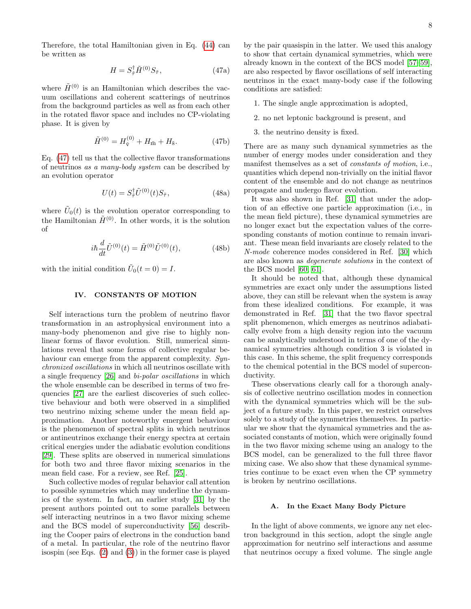Therefore, the total Hamiltonian given in Eq. [\(44\)](#page-6-5) can be written as

<span id="page-7-1"></span>
$$
H = S_{\tilde{\tau}}^{\dagger} \tilde{H}^{(0)} S_{\tilde{\tau}}, \tag{47a}
$$

where  $\tilde{H}^{(0)}$  is an Hamiltonian which describes the vacuum oscillations and coherent scatterings of neutrinos from the background particles as well as from each other in the rotated flavor space and includes no CP-violating phase. It is given by

$$
\tilde{H}^{(0)} = H_{\tilde{v}}^{(0)} + H_{\tilde{m}} + H_{\tilde{s}}.
$$
 (47b)

Eq. [\(47\)](#page-7-1) tell us that the collective flavor transformations of neutrinos as a many-body system can be described by an evolution operator

<span id="page-7-2"></span>
$$
U(t) = S_{\tilde{\tau}}^{\dagger} \tilde{U}^{(0)}(t) S_{\tilde{\tau}}, \qquad (48a)
$$

where  $\tilde{U}_0(t)$  is the evolution operator corresponding to the Hamiltonian  $\tilde{H}^{(0)}$ . In other words, it is the solution of

$$
i\hbar \frac{d}{dt}\tilde{U}^{(0)}(t) = \tilde{H}^{(0)}\tilde{U}^{(0)}(t),
$$
 (48b)

with the initial condition  $\tilde{U}_0(t=0) = I$ .

# <span id="page-7-0"></span>IV. CONSTANTS OF MOTION

Self interactions turn the problem of neutrino flavor transformation in an astrophysical environment into a many-body phenomenon and give rise to highly nonlinear forms of flavor evolution. Still, numerical simulations reveal that some forms of collective regular behaviour can emerge from the apparent complexity. Synchronized oscillations in which all neutrinos oscillate with a single frequency [\[26\]](#page-15-12) and bi-polar oscillations in which the whole ensemble can be described in terms of two frequencies [\[27\]](#page-15-13) are the earliest discoveries of such collective behaviour and both were observed in a simplified two neutrino mixing scheme under the mean field approximation. Another noteworthy emergent behaviour is the phenomenon of spectral splits in which neutrinos or antineutrinos exchange their energy spectra at certain critical energies under the adiabatic evolution conditions [\[29\]](#page-15-14). These splits are observed in numerical simulations for both two and three flavor mixing scenarios in the mean field case. For a review, see Ref. [\[25\]](#page-15-8).

Such collective modes of regular behavior call attention to possible symmetries which may underline the dynamics of the system. In fact, an earlier study [\[31\]](#page-16-0) by the present authors pointed out to some parallels between self interacting neutrinos in a two flavor mixing scheme and the BCS model of superconductivity [\[56\]](#page-16-23) describing the Cooper pairs of electrons in the conduction band of a metal. In particular, the role of the neutrino flavor isospin (see Eqs. [\(2\)](#page-2-5) and [\(3\)](#page-2-6)) in the former case is played

by the pair quasispin in the latter. We used this analogy to show that certain dynamical symmetries, which were already known in the context of the BCS model [\[57–](#page-16-24)[59\]](#page-16-25), are also respected by flavor oscillations of self interacting neutrinos in the exact many-body case if the following conditions are satisfied:

- 1. The single angle approximation is adopted,
- 2. no net leptonic background is present, and
- 3. the neutrino density is fixed.

There are as many such dynamical symmetries as the number of energy modes under consideration and they manifest themselves as a set of constants of motion, i.e., quantities which depend non-trivially on the initial flavor content of the ensemble and do not change as neutrinos propagate and undergo flavor evolution.

It was also shown in Ref. [\[31\]](#page-16-0) that under the adoption of an effective one particle approximation (i.e., in the mean field picture), these dynamical symmetries are no longer exact but the expectation values of the corresponding constants of motion continue to remain invariant. These mean field invariants are closely related to the N-mode coherence modes considered in Ref. [\[30\]](#page-15-9) which are also known as degenerate solutions in the context of the BCS model [\[60,](#page-16-26) [61\]](#page-16-27).

It should be noted that, although these dynamical symmetries are exact only under the assumptions listed above, they can still be relevant when the system is away from these idealized conditions. For example, it was demonstrated in Ref. [\[31\]](#page-16-0) that the two flavor spectral split phenomenon, which emerges as neutrinos adiabatically evolve from a high density region into the vacuum can be analytically understood in terms of one of the dynamical symmetries although condition 3 is violated in this case. In this scheme, the split frequency corresponds to the chemical potential in the BCS model of superconductivity.

These observations clearly call for a thorough analysis of collective neutrino oscillation modes in connection with the dynamical symmetries which will be the subject of a future study. In this paper, we restrict ourselves solely to a study of the symmetries themselves. In particular we show that the dynamical symmetries and the associated constants of motion, which were originally found in the two flavor mixing scheme using an analogy to the BCS model, can be generalized to the full three flavor mixing case. We also show that these dynamical symmetries continue to be exact even when the CP symmetry is broken by neutrino oscillations.

# A. In the Exact Many Body Picture

In the light of above comments, we ignore any net electron background in this section, adopt the single angle approximation for neutrino self interactions and assume that neutrinos occupy a fixed volume. The single angle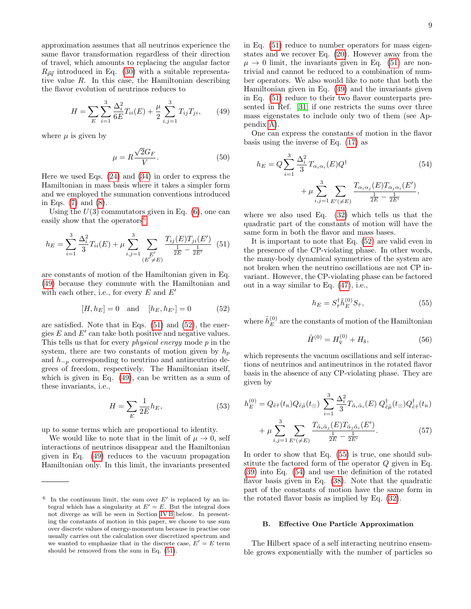approximation assumes that all neutrinos experience the same flavor transformation regardless of their direction of travel, which amounts to replacing the angular factor  $R_{\vec{p}\vec{q}}$  introduced in Eq. [\(30\)](#page-5-9) with a suitable representative value R. In this case, the Hamiltonian describing the flavor evolution of neutrinos reduces to

<span id="page-8-2"></span>
$$
H = \sum_{E} \sum_{i=1}^{3} \frac{\Delta_i^2}{6E} T_{ii}(E) + \frac{\mu}{2} \sum_{i,j=1}^{3} T_{ij} T_{ji}, \qquad (49)
$$

where  $\mu$  is given by

$$
\mu = R \frac{\sqrt{2}G_F}{V}.
$$
\n(50)

Here we used Eqs. [\(24\)](#page-4-4) and [\(34\)](#page-5-3) in order to express the Hamiltonian in mass basis where it takes a simpler form and we employed the summation conventions introduced in Eqs. [\(7\)](#page-2-3) and [\(8\)](#page-2-4).

Using the  $U(3)$  commutators given in Eq.  $(6)$ , one can easily show that the operators<sup>[6](#page-8-1)</sup>

<span id="page-8-3"></span>
$$
h_E = \sum_{i=1}^{3} \frac{\Delta_i^2}{3} T_{ii}(E) + \mu \sum_{i,j=1}^{3} \sum_{\substack{E'\\(E' \neq E)}} \frac{T_{ij}(E) T_{ji}(E')}{\frac{1}{2E} - \frac{1}{2E'}} \tag{51}
$$

are constants of motion of the Hamiltonian given in Eq. [\(49\)](#page-8-2) because they commute with the Hamiltonian and with each other, i.e., for every  $E$  and  $E'$ 

<span id="page-8-4"></span>
$$
[H, h_E] = 0
$$
 and  $[h_E, h_{E'}] = 0$  (52)

are satisfied. Note that in Eqs. [\(51\)](#page-8-3) and [\(52\)](#page-8-4), the energies  $E$  and  $E'$  can take both positive and negative values. This tells us that for every physical energy mode p in the system, there are two constants of motion given by  $h_n$ and  $h_{-p}$  corresponding to neutrino and antineutrino degrees of freedom, respectively. The Hamiltonian itself, which is given in Eq. [\(49\)](#page-8-2), can be written as a sum of these invariants, i.e.,

$$
H = \sum_{E} \frac{1}{2E} h_E,\tag{53}
$$

up to some terms which are proportional to identity.

We would like to note that in the limit of  $\mu \to 0$ , self interactions of neutrinos disappear and the Hamiltonian given in Eq. [\(49\)](#page-8-2) reduces to the vacuum propagation Hamiltonian only. In this limit, the invariants presented

in Eq. [\(51\)](#page-8-3) reduce to number operators for mass eigenstates and we recover Eq. [\(20\)](#page-4-7). However away from the  $\mu \rightarrow 0$  limit, the invariants given in Eq. [\(51\)](#page-8-3) are nontrivial and cannot be reduced to a combination of number operators. We also would like to note that both the Hamiltonian given in Eq. [\(49\)](#page-8-2) and the invariants given in Eq. [\(51\)](#page-8-3) reduce to their two flavor counterparts presented in Ref. [\[31\]](#page-16-0) if one restricts the sums over three mass eigenstates to include only two of them (see Appendix [A\)](#page-15-15).

One can express the constants of motion in the flavor basis using the inverse of Eq. [\(17\)](#page-3-5) as

<span id="page-8-6"></span>
$$
h_E = Q \sum_{i=1}^{3} \frac{\Delta_i^2}{3} T_{\alpha_i \alpha_i}(E) Q^{\dagger} + \mu \sum_{i,j=1}^{3} \sum_{E' (\neq E)} \frac{T_{\alpha_i \alpha_j}(E) T_{\alpha_j \alpha_i}(E')}{\frac{1}{2E} - \frac{1}{2E'}},
$$
\n(54)

where we also used Eq. [\(32\)](#page-5-2) which tells us that the quadratic part of the constants of motion will have the same form in both the flavor and mass bases.

It is important to note that Eq. [\(52\)](#page-8-4) are valid even in the presence of the CP-violating phase. In other words, the many-body dynamical symmetries of the system are not broken when the neutrino oscillations are not CP invariant. However, the CP-violating phase can be factored out in a way similar to Eq. [\(47\)](#page-7-1), i.e.,

<span id="page-8-5"></span>
$$
h_E = S_{\tilde{\tau}}^{\dagger} \tilde{h}_E^{(0)} S_{\tilde{\tau}},\tag{55}
$$

where  $\tilde{h}_E^{(0)}$  $E_E^{(0)}$  are the constants of motion of the Hamiltonian

$$
\tilde{H}^{(0)} = H_{\tilde{\mathbf{v}}}^{(0)} + H_{\tilde{\mathbf{s}}},\tag{56}
$$

which represents the vacuum oscillations and self interactions of neutrinos and antineutrinos in the rotated flavor basis in the absence of any CP-violating phase. They are given by

$$
h_E^{(0)} = Q_{\tilde{e}\tilde{\tau}}(t_{\rm R}) Q_{\tilde{e}\tilde{\mu}}(t_{\odot}) \sum_{i=1}^3 \frac{\Delta_i^2}{3} T_{\tilde{\alpha}_i \tilde{\alpha}_i}(E) Q_{\tilde{e}\tilde{\mu}}^\dagger(t_{\odot}) Q_{\tilde{e}\tilde{\tau}}^\dagger(t_{\rm R})
$$

$$
+ \mu \sum_{i,j=1}^3 \sum_{E'(\neq E)} \frac{T_{\tilde{\alpha}_i \tilde{\alpha}_j}(E) T_{\tilde{\alpha}_j \tilde{\alpha}_i}(E')}{\frac{1}{2E} - \frac{1}{2E'}}.
$$
(57)

In order to show that Eq. [\(55\)](#page-8-5) is true, one should substitute the factored form of the operator Q given in Eq. [\(39\)](#page-6-2) into Eq. [\(54\)](#page-8-6) and use the definition of the rotated flavor basis given in Eq. [\(38\)](#page-6-1). Note that the quadratic part of the constants of motion have the same form in the rotated flavor basis as implied by Eq. [\(32\)](#page-5-2).

### <span id="page-8-0"></span>B. Effective One Particle Approximation

The Hilbert space of a self interacting neutrino ensemble grows exponentially with the number of particles so

<span id="page-8-1"></span><sup>&</sup>lt;sup>6</sup> In the continuum limit, the sum over  $E'$  is replaced by an integral which has a singularity at  $E' = E$ . But the integral does not diverge as will be seen in Section [IV B](#page-8-0) below. In presenting the constants of motion in this paper, we choose to use sum over discrete values of energy-momentum because in practise one usually carries out the calculation over discretized spectrum and we wanted to emphasize that in the discrete case,  $E' = E$  term should be removed from the sum in Eq. [\(51\)](#page-8-3).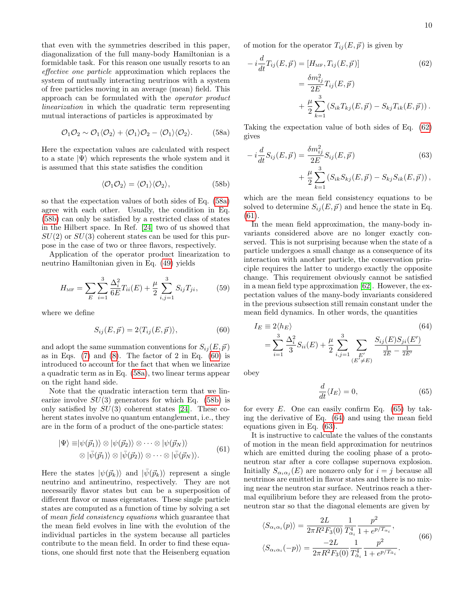that even with the symmetries described in this paper, diagonalization of the full many-body Hamiltonian is a formidable task. For this reason one usually resorts to an effective one particle approximation which replaces the system of mutually interacting neutrinos with a system of free particles moving in an average (mean) field. This approach can be formulated with the operator product linearization in which the quadratic term representing mutual interactions of particles is approximated by

<span id="page-9-0"></span>
$$
\mathcal{O}_1 \mathcal{O}_2 \sim \mathcal{O}_1 \langle \mathcal{O}_2 \rangle + \langle \mathcal{O}_1 \rangle \mathcal{O}_2 - \langle \mathcal{O}_1 \rangle \langle \mathcal{O}_2 \rangle. \tag{58a}
$$

Here the expectation values are calculated with respect to a state  $|\Psi\rangle$  which represents the whole system and it is assumed that this state satisfies the condition

<span id="page-9-1"></span>
$$
\langle \mathcal{O}_1 \mathcal{O}_2 \rangle = \langle \mathcal{O}_1 \rangle \langle \mathcal{O}_2 \rangle, \tag{58b}
$$

so that the expectation values of both sides of Eq. [\(58a\)](#page-9-0) agree with each other. Usually, the condition in Eq. [\(58b\)](#page-9-1) can only be satisfied by a restricted class of states in the Hilbert space. In Ref. [\[24\]](#page-15-16) two of us showed that  $SU(2)$  or  $SU(3)$  coherent states can be used for this purpose in the case of two or three flavors, respectively.

Application of the operator product linearization to neutrino Hamiltonian given in Eq. [\(49\)](#page-8-2) yields

$$
H_{\text{MF}} = \sum_{E} \sum_{i=1}^{3} \frac{\Delta_i^2}{6E} T_{ii}(E) + \frac{\mu}{2} \sum_{i,j=1}^{3} S_{ij} T_{ji}, \qquad (59)
$$

where we define

<span id="page-9-2"></span>
$$
S_{ij}(E, \vec{p}) = 2 \langle T_{ij}(E, \vec{p}) \rangle, \tag{60}
$$

and adopt the same summation conventions for  $S_{ij}(E, \vec{p})$ as in Eqs.  $(7)$  and  $(8)$ . The factor of 2 in Eq.  $(60)$  is introduced to account for the fact that when we linearize a quadratic term as in Eq. [\(58a\)](#page-9-0), two linear terms appear on the right hand side.

Note that the quadratic interaction term that we linearize involve  $SU(3)$  generators for which Eq. [\(58b\)](#page-9-1) is only satisfied by  $SU(3)$  coherent states [\[24\]](#page-15-16). These coherent states involve no quantum entanglement, i.e., they are in the form of a product of the one-particle states:

<span id="page-9-4"></span>
$$
|\Psi\rangle \equiv |\psi(\vec{p}_1)\rangle \otimes |\psi(\vec{p}_2)\rangle \otimes \cdots \otimes |\psi(\vec{p}_N)\rangle
$$
  

$$
\otimes |\bar{\psi}(\vec{p}_1)\rangle \otimes |\bar{\psi}(\vec{p}_2)\rangle \otimes \cdots \otimes |\bar{\psi}(\vec{p}_N)\rangle.
$$
 (61)

Here the states  $|\psi(\vec{p}_k)\rangle$  and  $|\bar{\psi}(\vec{p}_k)\rangle$  represent a single neutrino and antineutrino, respectively. They are not necessarily flavor states but can be a superposition of different flavor or mass eigenstates. These single particle states are computed as a function of time by solving a set of mean field consistency equations which guarantee that the mean field evolves in line with the evolution of the individual particles in the system because all particles contribute to the mean field. In order to find these equations, one should first note that the Heisenberg equation

of motion for the operator  $T_{ij}(E, \vec{p})$  is given by

<span id="page-9-3"></span>
$$
-i\frac{d}{dt}T_{ij}(E,\vec{p}) = [H_{\text{MF}}, T_{ij}(E,\vec{p})]
$$
(62)  

$$
= \frac{\delta m_{ij}^2}{2E}T_{ij}(E,\vec{p})
$$

$$
+ \frac{\mu}{2}\sum_{k=1}^3 (S_{ik}T_{kj}(E,\vec{p}) - S_{kj}T_{ik}(E,\vec{p})).
$$

Taking the expectation value of both sides of Eq. [\(62\)](#page-9-3) gives

<span id="page-9-7"></span>
$$
-i\frac{d}{dt}S_{ij}(E,\vec{p}) = \frac{\delta m_{ij}^2}{2E}S_{ij}(E,\vec{p})
$$
(63)  
+ 
$$
\frac{\mu}{2}\sum_{k=1}^3 (S_{ik}S_{kj}(E,\vec{p}) - S_{kj}S_{ik}(E,\vec{p})),
$$

which are the mean field consistency equations to be solved to determine  $S_{ij}(E, \vec{p})$  and hence the state in Eq. [\(61\)](#page-9-4).

In the mean field approximation, the many-body invariants considered above are no longer exactly conserved. This is not surprising because when the state of a particle undergoes a small change as a consequence of its interaction with another particle, the conservation principle requires the latter to undergo exactly the opposite change. This requirement obviously cannot be satisfied in a mean field type approximation [\[62\]](#page-16-28). However, the expectation values of the many-body invariants considered in the previous subsection still remain constant under the mean field dynamics. In other words, the quantities

<span id="page-9-6"></span>
$$
I_E \equiv 2\langle h_E \rangle \tag{64}
$$
  
=  $\sum_{i=1}^3 \frac{\Delta_i^2}{3} S_{ii}(E) + \frac{\mu}{2} \sum_{i,j=1}^3 \sum_{\substack{E'\\(E' \neq E)}} \frac{S_{ij}(E) S_{ji}(E')}{\frac{1}{2E} - \frac{1}{2E'}}$ 

obey

<span id="page-9-5"></span>
$$
\frac{d}{dt}\langle I_E \rangle = 0,\t(65)
$$

for every  $E$ . One can easily confirm Eq. [\(65\)](#page-9-5) by taking the derivative of Eq. [\(64\)](#page-9-6) and using the mean field equations given in Eq. [\(63\)](#page-9-7).

It is instructive to calculate the values of the constants of motion in the mean field approximation for neutrinos which are emitted during the cooling phase of a protoneutron star after a core collapse supernova explosion. Initially  $S_{\alpha_i \alpha_j}(E)$  are nonzero only for  $i = j$  because all neutrinos are emitted in flavor states and there is no mixing near the neutron star surface. Neutrinos reach a thermal equilibrium before they are released from the protoneutron star so that the diagonal elements are given by

<span id="page-9-8"></span>
$$
\langle S_{\alpha_i \alpha_i}(p) \rangle = \frac{2L}{2\pi R^2 F_3(0)} \frac{1}{T_{\alpha_i}^4} \frac{p^2}{1 + e^{p/T_{\alpha_i}}},
$$
  

$$
\langle S_{\alpha_i \alpha_i}(-p) \rangle = \frac{-2L}{2\pi R^2 F_3(0)} \frac{1}{T_{\alpha_i}^4} \frac{p^2}{1 + e^{p/T_{\alpha_i}}}.
$$
 (66)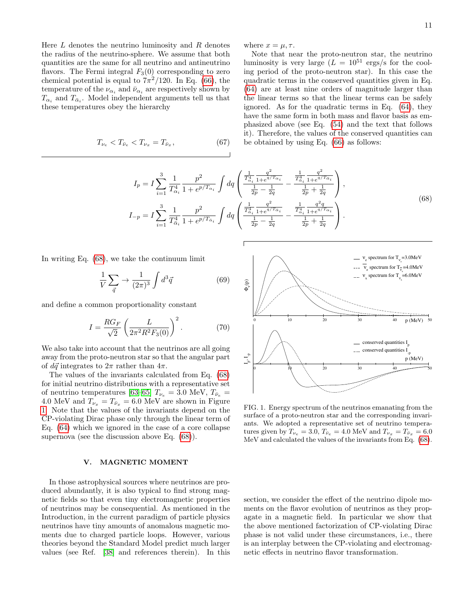Here  $L$  denotes the neutrino luminosity and  $R$  denotes the radius of the neutrino-sphere. We assume that both quantities are the same for all neutrino and antineutrino flavors. The Fermi integral  $F_3(0)$  corresponding to zero chemical potential is equal to  $7\pi^2/120$ . In Eq. [\(66\)](#page-9-8), the temperature of the  $\nu_{\alpha_i}$  and  $\bar{\nu}_{\alpha_i}$  are respectively shown by  $T_{\alpha_i}$  and  $T_{\bar{\alpha}_i}$ . Model independent arguments tell us that these temperatures obey the hierarchy

$$
T_{\nu_e} < T_{\bar{\nu}_e} < T_{\nu_x} = T_{\bar{\nu}_x},\tag{67}
$$

where  $x = \mu, \tau$ .

Note that near the proto-neutron star, the neutrino luminosity is very large  $(L = 10^{51} \text{ ergs/s}$  for the cooling period of the proto-neutron star). In this case the quadratic terms in the conserved quantities given in Eq. [\(64\)](#page-9-6) are at least nine orders of magnitude larger than the linear terms so that the linear terms can be safely ignored. As for the quadratic terms in Eq. [\(64\)](#page-9-6), they have the same form in both mass and flavor basis as emphasized above (see Eq. [\(54\)](#page-8-6) and the text that follows it). Therefore, the values of the conserved quantities can be obtained by using Eq. [\(66\)](#page-9-8) as follows:

$$
I_{p} = I \sum_{i=1}^{3} \frac{1}{T_{\alpha_{i}}^{4}} \frac{p^{2}}{1 + e^{p/T_{\alpha_{i}}}} \int dq \left( \frac{\frac{1}{T_{\alpha_{i}}^{4}} \frac{q^{2}}{1 + e^{q/T_{\alpha_{i}}}}}{\frac{1}{2p} - \frac{1}{2q}} - \frac{\frac{1}{T_{\alpha_{i}}^{4}} \frac{q^{2}}{1 + e^{q/T_{\alpha_{i}}}}}{\frac{1}{2p} + \frac{1}{2q}} \right),
$$
  
\n
$$
I_{-p} = I \sum_{i=1}^{3} \frac{1}{T_{\alpha_{i}}^{4}} \frac{p^{2}}{1 + e^{p/T_{\alpha_{i}}}} \int dq \left( \frac{\frac{1}{T_{\alpha_{i}}^{4}} \frac{q^{2}}{1 + e^{q/T_{\alpha_{i}}}}}{\frac{1}{2p} - \frac{1}{2q}} - \frac{\frac{1}{T_{\alpha_{i}}^{4}} \frac{q^{2}q}{1 + e^{q/T_{\alpha_{i}}}}}{\frac{1}{2p} + \frac{1}{2q}} \right).
$$
\n(68)

<span id="page-10-1"></span>In writing Eq. [\(68\)](#page-10-1), we take the continuum limit

$$
\frac{1}{V} \sum_{\vec{q}} \rightarrow \frac{1}{(2\pi)^3} \int d^3 \vec{q} \tag{69}
$$

and define a common proportionality constant

$$
I = \frac{RG_F}{\sqrt{2}} \left( \frac{L}{2\pi^2 R^2 F_3(0)} \right)^2.
$$
 (70)

We also take into account that the neutrinos are all going away from the proto-neutron star so that the angular part of  $d\vec{q}$  integrates to  $2\pi$  rather than  $4\pi$ .

The values of the invariants calculated from Eq. [\(68\)](#page-10-1) for initial neutrino distributions with a representative set of neutrino temperatures [\[63–](#page-16-29)[65\]](#page-16-30)  $T_{\nu_e}$  = 3.0 MeV,  $T_{\bar{\nu}_e}$  = 4.0 MeV and  $T_{\nu_x} = T_{\bar{\nu}_x} = 6.0$  MeV are shown in Figure [1.](#page-10-2) Note that the values of the invariants depend on the CP-violating Dirac phase only through the linear term of Eq. [\(64\)](#page-9-6) which we ignored in the case of a core collapse supernova (see the discussion above Eq. [\(68\)](#page-10-1)).

### <span id="page-10-0"></span>V. MAGNETIC MOMENT

In those astrophysical sources where neutrinos are produced abundantly, it is also typical to find strong magnetic fields so that even tiny electromagnetic properties of neutrinos may be consequential. As mentioned in the Introduction, in the current paradigm of particle physics neutrinos have tiny amounts of anomalous magnetic moments due to charged particle loops. However, various theories beyond the Standard Model predict much larger values (see Ref. [\[38\]](#page-16-7) and references therein). In this



<span id="page-10-2"></span>FIG. 1. Energy spectrum of the neutrinos emanating from the surface of a proto-neutron star and the corresponding invariants. We adopted a representative set of neutrino temperatures given by  $T_{\nu_e} = 3.0$ ,  $T_{\bar{\nu}_e} = 4.0$  MeV and  $T_{\nu_x} = T_{\bar{\nu}_x} = 6.0$ MeV and calculated the values of the invariants from Eq. [\(68\)](#page-10-1).

section, we consider the effect of the neutrino dipole moments on the flavor evolution of neutrinos as they propagate in a magnetic field. In particular we show that the above mentioned factorization of CP-violating Dirac phase is not valid under these circumstances, i.e., there is an interplay between the CP-violating and electromagnetic effects in neutrino flavor transformation.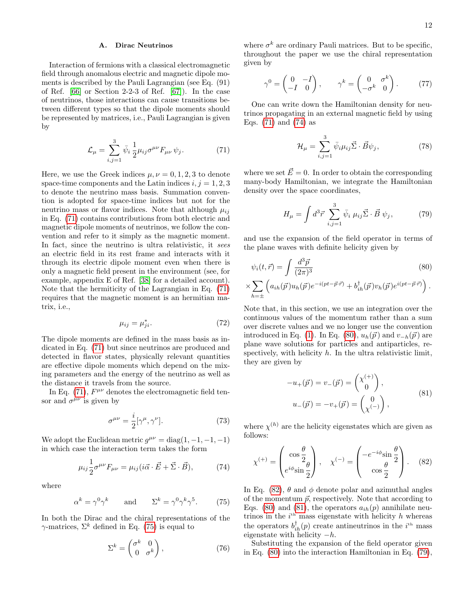# A. Dirac Neutrinos

Interaction of fermions with a classical electromagnetic field through anomalous electric and magnetic dipole moments is described by the Pauli Lagrangian (see Eq. (91) of Ref. [\[66\]](#page-16-31) or Section 2-2-3 of Ref. [\[67\]](#page-16-32)). In the case of neutrinos, those interactions can cause transitions between different types so that the dipole moments should be represented by matrices, i.e., Pauli Lagrangian is given by

<span id="page-11-0"></span>
$$
\mathcal{L}_{\mu} = \sum_{i,j=1}^{3} \bar{\psi}_{i} \frac{1}{2} \mu_{ij} \sigma^{\mu \nu} F_{\mu \nu} \psi_{j}.
$$
 (71)

Here, we use the Greek indices  $\mu, \nu = 0, 1, 2, 3$  to denote space-time components and the Latin indices  $i, j = 1, 2, 3$ to denote the neutrino mass basis. Summation convention is adopted for space-time indices but not for the neutrino mass or flavor indices. Note that although  $\mu_{ij}$ in Eq. [\(71\)](#page-11-0) contains contributions from both electric and magnetic dipole moments of neutrinos, we follow the convention and refer to it simply as the magnetic moment. In fact, since the neutrino is ultra relativistic, it sees an electric field in its rest frame and interacts with it through its electric dipole moment even when there is only a magnetic field present in the environment (see, for example, appendix E of Ref. [\[38\]](#page-16-7) for a detailed account). Note that the hermiticity of the Lagrangian in Eq. [\(71\)](#page-11-0) requires that the magnetic moment is an hermitian matrix, i.e.,

$$
\mu_{ij} = \mu_{ji}^*.\tag{72}
$$

The dipole moments are defined in the mass basis as indicated in Eq. [\(71\)](#page-11-0) but since neutrinos are produced and detected in flavor states, physically relevant quantities are effective dipole moments which depend on the mixing parameters and the energy of the neutrino as well as the distance it travels from the source.

In Eq. [\(71\)](#page-11-0),  $F^{\mu\nu}$  denotes the electromagnetic field tensor and  $\sigma^{\mu\nu}$  is given by

$$
\sigma^{\mu\nu} = \frac{i}{2} [\gamma^{\mu}, \gamma^{\nu}]. \tag{73}
$$

We adopt the Euclidean metric  $g^{\mu\nu} = \text{diag}(1, -1, -1, -1)$ in which case the interaction term takes the form

<span id="page-11-2"></span>
$$
\mu_{ij}\frac{1}{2}\sigma^{\mu\nu}F_{\mu\nu} = \mu_{ij}(i\vec{\alpha}\cdot\vec{E} + \vec{\Sigma}\cdot\vec{B}),\tag{74}
$$

where

<span id="page-11-1"></span>
$$
\alpha^k = \gamma^0 \gamma^k \qquad \text{and} \qquad \Sigma^k = \gamma^0 \gamma^k \gamma^5. \tag{75}
$$

In both the Dirac and the chiral representations of the  $\gamma$ -matrices,  $\Sigma^k$  defined in Eq. [\(75\)](#page-11-1) is equal to

<span id="page-11-7"></span>
$$
\Sigma^k = \begin{pmatrix} \sigma^k & 0\\ 0 & \sigma^k \end{pmatrix},\tag{76}
$$

where  $\sigma^k$  are ordinary Pauli matrices. But to be specific, throughout the paper we use the chiral representation given by

$$
\gamma^0 = \begin{pmatrix} 0 & -I \\ -I & 0 \end{pmatrix}, \qquad \gamma^k = \begin{pmatrix} 0 & \sigma^k \\ -\sigma^k & 0 \end{pmatrix}.
$$
 (77)

One can write down the Hamiltonian density for neutrinos propagating in an external magnetic field by using Eqs.  $(71)$  and  $(74)$  as

$$
\mathcal{H}_{\mu} = \sum_{i,j=1}^{3} \bar{\psi}_i \mu_{ij} \vec{\Sigma} \cdot \vec{B} \psi_j, \qquad (78)
$$

where we set  $\vec{E}=0$ . In order to obtain the corresponding many-body Hamiltonian, we integrate the Hamiltonian density over the space coordinates,

<span id="page-11-6"></span>
$$
H_{\mu} = \int d^3 \vec{r} \sum_{i,j=1}^3 \bar{\psi}_i \mu_{ij} \vec{\Sigma} \cdot \vec{B} \psi_j, \qquad (79)
$$

and use the expansion of the field operator in terms of the plane waves with definite helicity given by

<span id="page-11-3"></span>
$$
\psi_i(t, \vec{r}) = \int \frac{d^3 \vec{p}}{(2\pi)^3} \tag{80}
$$
\n
$$
\times \sum_{h=\pm} \left( a_{ih}(\vec{p}) u_h(\vec{p}) e^{-i(pt - \vec{p} \cdot \vec{r})} + b_{ih}^\dagger(\vec{p}) v_h(\vec{p}) e^{i(pt - \vec{p} \cdot \vec{r})} \right).
$$

Note that, in this section, we use an integration over the continuous values of the momentum rather than a sum over discrete values and we no longer use the convention introduced in Eq. [\(1\)](#page-2-8). In Eq. [\(80\)](#page-11-3),  $u_h(\vec{p})$  and  $v_{-h}(\vec{p})$  are plane wave solutions for particles and antiparticles, respectively, with helicity  $h$ . In the ultra relativistic limit, they are given by

$$
-u_{+}(\vec{p}) = v_{-}(\vec{p}) = \begin{pmatrix} \chi^{(+)} \\ 0 \end{pmatrix},
$$
  
\n
$$
u_{-}(\vec{p}) = -v_{+}(\vec{p}) = \begin{pmatrix} 0 \\ \chi^{(-)} \end{pmatrix},
$$
\n(81)

<span id="page-11-5"></span>where  $\chi^{(h)}$  are the helicity eigenstates which are given as follows:

<span id="page-11-4"></span>
$$
\chi^{(+)} = \begin{pmatrix} \cos\frac{\theta}{2} \\ e^{i\phi}\sin\frac{\theta}{2} \end{pmatrix}, \quad \chi^{(-)} = \begin{pmatrix} -e^{-i\phi}\sin\frac{\theta}{2} \\ \cos\frac{\theta}{2} \end{pmatrix}.
$$
 (82)

In Eq. [\(82\)](#page-11-4),  $\theta$  and  $\phi$  denote polar and azimuthal angles of the momentum  $\vec{p}$ , respectively. Note that according to Eqs. [\(80\)](#page-11-3) and [\(81\)](#page-11-5), the operators  $a_{ih}(p)$  annihilate neutrinos in the  $i<sup>th</sup>$  mass eigenstate with helicity h whereas the operators  $b_{ih}^{\dagger}(p)$  create antineutrinos in the  $i^{\text{th}}$  mass eigenstate with helicity  $-h$ .

Substituting the expansion of the field operator given in Eq. [\(80\)](#page-11-3) into the interaction Hamiltonian in Eq. [\(79\)](#page-11-6),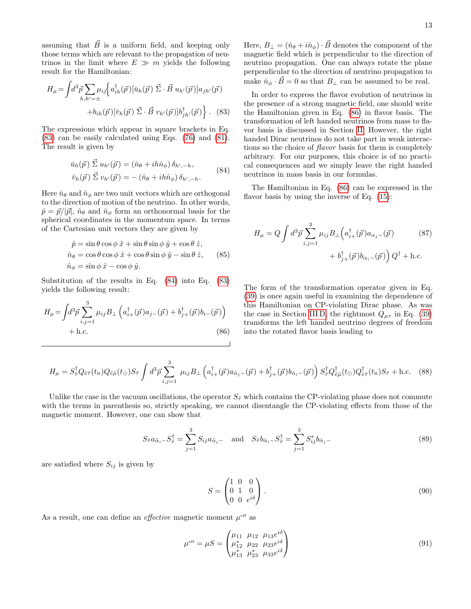assuming that  $\vec{B}$  is a uniform field, and keeping only those terms which are relevant to the propagation of neutrinos in the limit where  $E \gg m$  yields the following result for the Hamiltonian:

<span id="page-12-0"></span>
$$
H_{\mu} = \int d^3 \vec{p} \sum_{h,h'= \pm} \mu_{ij} \left\{ a_{ih}^{\dagger}(\vec{p}) \left[ \bar{u}_h(\vec{p}) \vec{\Sigma} \cdot \vec{B} u_{h'}(\vec{p}) \right] a_{jh'}(\vec{p}) + b_{ih}(\vec{p}) \left[ \bar{v}_h(\vec{p}) \vec{\Sigma} \cdot \vec{B} v_{h'}(\vec{p}) \right] b_{jh'}^{\dagger}(\vec{p}) \right\}.
$$
 (83)

The expressions which appear in square brackets in Eq. [\(83\)](#page-12-0) can be easily calculated using Eqs. [\(76\)](#page-11-7) and [\(81\)](#page-11-5). The result is given by

$$
\bar{u}_h(\vec{p}) \vec{\Sigma} u_{h'}(\vec{p}) = (\hat{n}_{\theta} + ih\hat{n}_{\phi}) \delta_{h', -h},
$$
  
\n
$$
\bar{v}_h(\vec{p}) \vec{\Sigma} v_{h'}(\vec{p}) = -(\hat{n}_{\theta} + ih\hat{n}_{\phi}) \delta_{h', -h}.
$$
\n(84)

<span id="page-12-1"></span>Here  $\hat{n}_{\theta}$  and  $\hat{n}_{\phi}$  are two unit vectors which are orthogonal to the direction of motion of the neutrino. In other words,  $\hat{p} = \vec{p}/|\vec{p}|$ ,  $\hat{n}_{\theta}$  and  $\hat{n}_{\phi}$  form an orthonormal basis for the spherical coordinates in the momentum space. In terms of the Cartesian unit vectors they are given by

$$
\hat{p} = \sin \theta \cos \phi \, \hat{x} + \sin \theta \sin \phi \, \hat{y} + \cos \theta \, \hat{z}, \n\hat{n}_{\theta} = \cos \theta \cos \phi \, \hat{x} + \cos \theta \sin \phi \, \hat{y} - \sin \theta \, \hat{z}, \qquad (85) \n\hat{n}_{\phi} = \sin \phi \, \hat{x} - \cos \phi \, \hat{y}.
$$

Substitution of the results in Eq. [\(84\)](#page-12-1) into Eq. [\(83\)](#page-12-0) yields the following result:

<span id="page-12-2"></span>
$$
H_{\mu} = \int d^{3} \vec{p} \sum_{i,j=1}^{3} \mu_{ij} B_{\perp} \left( a_{i+}^{\dagger}(\vec{p}) a_{j-}(\vec{p}) + b_{j+}^{\dagger}(\vec{p}) b_{i-}(\vec{p}) \right) + \text{h.c.}
$$
\n(86)

Here,  $B_{\perp} = (\hat{n}_{\theta} + i\hat{n}_{\phi}) \cdot \vec{B}$  denotes the component of the magnetic field which is perpendicular to the direction of neutrino propagation. One can always rotate the plane perpendicular to the direction of neutrino propagation to make  $\hat{n}_{\phi} \cdot \vec{B} = 0$  so that  $B_{\perp}$  can be assumed to be real.

In order to express the flavor evolution of neutrinos in the presence of a strong magnetic field, one should write the Hamiltonian given in Eq. [\(86\)](#page-12-2) in flavor basis. The transformation of left handed neutrinos from mass to flavor basis is discussed in Section [II.](#page-1-0) However, the right handed Dirac neutrinos do not take part in weak interactions so the choice of flavor basis for them is completely arbitrary. For our purposes, this choice is of no practical consequences and we simply leave the right handed neutrinos in mass basis in our formulas.

The Hamiltonian in Eq. [\(86\)](#page-12-2) can be expressed in the flavor basis by using the inverse of Eq.  $(15)$ :

$$
H_{\mu} = Q \int d^3 \vec{p} \sum_{i,j=1}^3 \mu_{ij} B_{\perp} \left( a_{i+}^{\dagger}(\vec{p}) a_{\alpha_j} - (\vec{p}) \right) \tag{87}
$$

$$
+ b_{j+}^{\dagger}(\vec{p}) b_{\alpha_i} - (\vec{p}) \right) Q^{\dagger} + \text{h.c.}
$$

The form of the transformation operator given in Eq. [\(39\)](#page-6-2) is once again useful in examining the dependence of this Hamiltonian on CP-violating Dirac phase. As was the case in Section [III D,](#page-5-10) the rightmost  $Q_{\mu\tau}$  in Eq. [\(39\)](#page-6-2) transforms the left handed neutrino degrees of freedom into the rotated flavor basis leading to

<span id="page-12-3"></span>
$$
H_{\mu} = S_{\tilde{\tau}}^{\dagger} Q_{\tilde{e}\tilde{\tau}}(t_{\rm R}) Q_{\tilde{e}\tilde{\mu}}(t_{\odot}) S_{\tilde{\tau}} \int d^3 \vec{p} \sum_{i,j=1}^3 \mu_{ij} B_{\perp} \left( a_{i+}^{\dagger} (\vec{p}) a_{\tilde{\alpha}_j -} (\vec{p}) + b_{j+}^{\dagger} (\vec{p}) b_{\tilde{\alpha}_i -} (\vec{p}) \right) S_{\tilde{\tau}}^{\dagger} Q_{\tilde{e}\tilde{\mu}}^{\dagger}(t_{\odot}) Q_{\tilde{e}\tilde{\tau}}^{\dagger}(t_{\rm R}) S_{\tilde{\tau}} + \text{h.c.} \quad (88)
$$

Unlike the case in the vacuum oscillations, the operator  $S_{\tilde{\tau}}$  which contains the CP-violating phase does not commute with the terms in parenthesis so, strictly speaking, we cannot disentangle the CP-violating effects from those of the magnetic moment. However, one can show that

<span id="page-12-5"></span>
$$
S_{\tilde{\tau}} a_{\tilde{\alpha}_i} S_{\tilde{\tau}}^{\dagger} = \sum_{j=1}^3 S_{ij} a_{\tilde{\alpha}_j} \quad \text{and} \quad S_{\tilde{\tau}} b_{\tilde{\alpha}_i} S_{\tilde{\tau}}^{\dagger} = \sum_{j=1}^3 S_{ij}^* b_{\tilde{\alpha}_j} \tag{89}
$$

are satisfied where  $S_{ij}$  is given by

<span id="page-12-6"></span>
$$
S = \begin{pmatrix} 1 & 0 & 0 \\ 0 & 1 & 0 \\ 0 & 0 & e^{i\delta} \end{pmatrix} . \tag{90}
$$

As a result, one can define an *effective* magnetic moment  $\mu^{\text{eff}}$  as

<span id="page-12-4"></span>
$$
\mu^{\text{eff}} = \mu S = \begin{pmatrix} \mu_{11} & \mu_{12} & \mu_{13} e^{i\delta} \\ \mu_{12}^* & \mu_{22} & \mu_{23} e^{i\delta} \\ \mu_{13}^* & \mu_{23}^* & \mu_{33} e^{i\delta} \end{pmatrix}
$$
(91)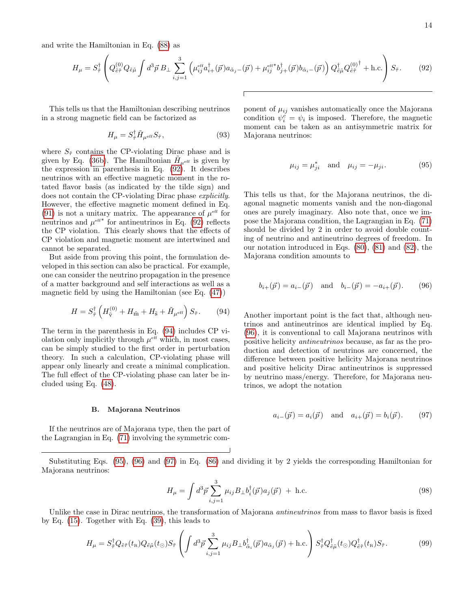and write the Hamiltonian in Eq. [\(88\)](#page-12-3) as

<span id="page-13-0"></span>
$$
H_{\mu} = S_{\tilde{\tau}}^{\dagger} \left( Q_{\tilde{e}\tilde{\tau}}^{(0)} Q_{\tilde{e}\tilde{\mu}} \int d^3 \vec{p} \, B_{\perp} \sum_{i,j=1}^3 \left( \mu_{ij}^{\text{eff}} a_{i+}^{\dagger} (\vec{p}) a_{\tilde{\alpha}_j -} (\vec{p}) + \mu_{ij}^{\text{eff}*} b_{j+}^{\dagger} (\vec{p}) b_{\tilde{\alpha}_i -} (\vec{p}) \right) Q_{\tilde{e}\tilde{\mu}}^{\dagger} Q_{\tilde{e}\tilde{\tau}}^{(0)^{\dagger}} + \text{h.c.} \right) S_{\tilde{\tau}}.
$$
 (92)

This tells us that the Hamiltonian describing neutrinos in a strong magnetic field can be factorized as

$$
H_{\mu} = S_{\tilde{\tau}}^{\dagger} \tilde{H}_{\mu^{\text{eff}}} S_{\tilde{\tau}}, \qquad (93)
$$

where  $S_{\tilde{\tau}}$  contains the CP-violating Dirac phase and is given by Eq. [\(36b\)](#page-5-6). The Hamiltonian  $\tilde{H}_{\mu^{eff}}$  is given by the expression in parenthesis in Eq. [\(92\)](#page-13-0). It describes neutrinos with an effective magnetic moment in the rotated flavor basis (as indicated by the tilde sign) and does not contain the CP-violating Dirac phase explicitly. However, the effective magnetic moment defined in Eq. [\(91\)](#page-12-4) is not a unitary matrix. The appearance of  $\mu^{\rm eff}$  for neutrinos and  $\mu^{\text{eff}}$  for antineutrinos in Eq. [\(92\)](#page-13-0) reflects the CP violation. This clearly shows that the effects of CP violation and magnetic moment are intertwined and cannot be separated.

But aside from proving this point, the formulation developed in this section can also be practical. For example, one can consider the neutrino propagation in the presence of a matter background and self interactions as well as a magnetic field by using the Hamiltonian (see Eq. [\(47\)](#page-7-1))

<span id="page-13-1"></span>
$$
H = S_{\tilde{\tau}}^{\dagger} \left( H_{\tilde{\mathbf{v}}}^{(0)} + H_{\tilde{\mathbf{m}}} + H_{\tilde{\mathbf{s}}} + \tilde{H}_{\mu^{\text{eff}}} \right) S_{\tilde{\tau}}.
$$
 (94)

The term in the parenthesis in Eq. [\(94\)](#page-13-1) includes CP violation only implicitly through  $\mu^{\text{eff}}$  which, in most cases, can be simply studied to the first order in perturbation theory. In such a calculation, CP-violating phase will appear only linearly and create a minimal complication. The full effect of the CP-violating phase can later be included using Eq. [\(48\)](#page-7-2).

### B. Majorana Neutrinos

If the neutrinos are of Majorana type, then the part of the Lagrangian in Eq. [\(71\)](#page-11-0) involving the symmetric component of  $\mu_{ij}$  vanishes automatically once the Majorana condition  $\psi_i^{\tilde{c}} = \psi_i$  is imposed. Therefore, the magnetic moment can be taken as an antisymmetric matrix for Majorana neutrinos:

<span id="page-13-3"></span>
$$
\mu_{ij} = \mu_{ji}^* \quad \text{and} \quad \mu_{ij} = -\mu_{ji}.\tag{95}
$$

This tells us that, for the Majorana neutrinos, the diagonal magnetic moments vanish and the non-diagonal ones are purely imaginary. Also note that, once we impose the Majorana condition, the Lagrangian in Eq. [\(71\)](#page-11-0) should be divided by 2 in order to avoid double counting of neutrino and antineutrino degrees of freedom. In our notation introduced in Eqs. [\(80\)](#page-11-3), [\(81\)](#page-11-5) and [\(82\)](#page-11-4), the Majorana condition amounts to

<span id="page-13-2"></span>
$$
b_{i+}(\vec{p}) = a_{i-}(\vec{p})
$$
 and  $b_{i-}(\vec{p}) = -a_{i+}(\vec{p})$ . (96)

Another important point is the fact that, although neutrinos and antineutrinos are identical implied by Eq. [\(96\)](#page-13-2), it is conventional to call Majorana neutrinos with positive helicity antineutrinos because, as far as the production and detection of neutrinos are concerned, the difference between positive helicity Majorana neutrinos and positive helicity Dirac antineutrinos is suppressed by neutrino mass/energy. Therefore, for Majorana neutrinos, we adopt the notation

<span id="page-13-4"></span>
$$
a_{i-}(\vec{p}) = a_i(\vec{p})
$$
 and  $a_{i+}(\vec{p}) = b_i(\vec{p})$ . (97)

Substituting Eqs. [\(95\)](#page-13-3), [\(96\)](#page-13-2) and [\(97\)](#page-13-4) in Eq. [\(86\)](#page-12-2) and dividing it by 2 yields the corresponding Hamiltonian for Majorana neutrinos:

$$
H_{\mu} = \int d^3 \vec{p} \sum_{i,j=1}^3 \mu_{ij} B_{\perp} b_i^{\dagger}(\vec{p}) a_j(\vec{p}) + \text{h.c.}
$$
 (98)

Unlike the case in Dirac neutrinos, the transformation of Majorana *antineutrinos* from mass to flavor basis is fixed by Eq. [\(15\)](#page-3-3). Together with Eq. [\(39\)](#page-6-2), this leads to

$$
H_{\mu} = S_{\tilde{\tau}}^{\dagger} Q_{\tilde{e}\tilde{\tau}}(t_{\rm R}) Q_{\tilde{e}\tilde{\mu}}(t_{\odot}) S_{\tilde{\tau}} \left( \int d^3 \vec{p} \sum_{i,j=1}^3 \mu_{ij} B_{\perp} b_{\tilde{\alpha}_i}^{\dagger}(\vec{p}) a_{\tilde{\alpha}_j}(\vec{p}) + \text{h.c.} \right) S_{\tilde{\tau}}^{\dagger} Q_{\tilde{e}\tilde{\mu}}^{\dagger} (t_{\odot}) Q_{\tilde{e}\tilde{\tau}}^{\dagger} (t_{\rm R}) S_{\tilde{\tau}}.
$$
 (99)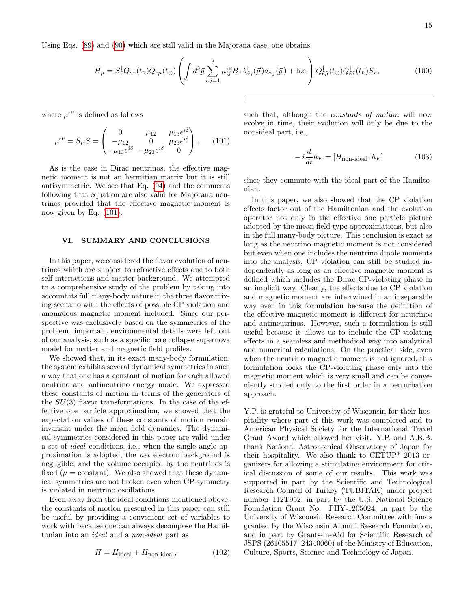Using Eqs. [\(89\)](#page-12-5) and [\(90\)](#page-12-6) which are still valid in the Majorana case, one obtains

$$
H_{\mu} = S_{\tilde{\tau}}^{\dagger} Q_{\tilde{e}\tilde{\tau}}(t_{\rm R}) Q_{\tilde{e}\tilde{\mu}}(t_{\odot}) \left( \int d^3 \vec{p} \sum_{i,j=1}^3 \mu_{ij}^{\rm eff} B_{\perp} b_{\tilde{\alpha}_i}^{\dagger}(\vec{p}) a_{\tilde{\alpha}_j}(\vec{p}) + \text{h.c.} \right) Q_{\tilde{e}\tilde{\mu}}^{\dagger}(t_{\odot}) Q_{\tilde{e}\tilde{\tau}}^{\dagger}(t_{\rm R}) S_{\tilde{\tau}}, \tag{100}
$$

where  $\mu^{\text{eff}}$  is defined as follows

<span id="page-14-0"></span>
$$
\mu^{\text{eff}} = S\mu S = \begin{pmatrix} 0 & \mu_{12} & \mu_{13}e^{i\delta} \\ -\mu_{12} & 0 & \mu_{23}e^{i\delta} \\ -\mu_{13}e^{i\delta} & -\mu_{23}e^{i\delta} & 0 \end{pmatrix}.
$$
 (101)

As is the case in Dirac neutrinos, the effective magnetic moment is not an hermitian matrix but it is still antisymmetric. We see that Eq. [\(94\)](#page-13-1) and the comments following that equation are also valid for Majorana neutrinos provided that the effective magnetic moment is now given by Eq. [\(101\)](#page-14-0).

# VI. SUMMARY AND CONCLUSIONS

In this paper, we considered the flavor evolution of neutrinos which are subject to refractive effects due to both self interactions and matter background. We attempted to a comprehensive study of the problem by taking into account its full many-body nature in the three flavor mixing scenario with the effects of possible CP violation and anomalous magnetic moment included. Since our perspective was exclusively based on the symmetries of the problem, important environmental details were left out of our analysis, such as a specific core collapse supernova model for matter and magnetic field profiles.

We showed that, in its exact many-body formulation, the system exhibits several dynamical symmetries in such a way that one has a constant of motion for each allowed neutrino and antineutrino energy mode. We expressed these constants of motion in terms of the generators of the  $SU(3)$  flavor transformations. In the case of the effective one particle approximation, we showed that the expectation values of these constants of motion remain invariant under the mean field dynamics. The dynamical symmetries considered in this paper are valid under a set of ideal conditions, i.e., when the single angle approximation is adopted, the net electron background is negligible, and the volume occupied by the neutrinos is fixed ( $\mu = constant$ ). We also showed that these dynamical symmetries are not broken even when CP symmetry is violated in neutrino oscillations.

Even away from the ideal conditions mentioned above, the constants of motion presented in this paper can still be useful by providing a convenient set of variables to work with because one can always decompose the Hamiltonian into an ideal and a non-ideal part as

$$
H = H_{\text{ideal}} + H_{\text{non-ideal}}, \qquad (102)
$$

such that, although the constants of motion will now evolve in time, their evolution will only be due to the non-ideal part, i.e.,

$$
-i\frac{d}{dt}h_E = [H_{\text{non-ideal}}, h_E]
$$
 (103)

since they commute with the ideal part of the Hamiltonian.

In this paper, we also showed that the CP violation effects factor out of the Hamiltonian and the evolution operator not only in the effective one particle picture adopted by the mean field type approximations, but also in the full many-body picture. This conclusion is exact as long as the neutrino magnetic moment is not considered but even when one includes the neutrino dipole moments into the analysis, CP violation can still be studied independently as long as an effective magnetic moment is defined which includes the Dirac CP-violating phase in an implicit way. Clearly, the effects due to CP violation and magnetic moment are intertwined in an inseparable way even in this formulation because the definition of the effective magnetic moment is different for neutrinos and antineutrinos. However, such a formulation is still useful because it allows us to include the CP-violating effects in a seamless and methodical way into analytical and numerical calculations. On the practical side, even when the neutrino magnetic moment is not ignored, this formulation locks the CP-violating phase only into the magnetic moment which is very small and can be conveniently studied only to the first order in a perturbation approach.

Y.P. is grateful to University of Wisconsin for their hospitality where part of this work was completed and to American Physical Society for the International Travel Grant Award which allowed her visit. Y.P. and A.B.B. thank National Astronomical Observatory of Japan for their hospitality. We also thank to CETUP\* 2013 organizers for allowing a stimulating environment for critical discussion of some of our results. This work was supported in part by the Scientific and Technological Research Council of Turkey (TUBITAK) under project number 112T952, in part by the U.S. National Science Foundation Grant No. PHY-1205024, in part by the University of Wisconsin Research Committee with funds granted by the Wisconsin Alumni Research Foundation, and in part by Grants-in-Aid for Scientific Research of JSPS (26105517, 24340060) of the Ministry of Education, Culture, Sports, Science and Technology of Japan.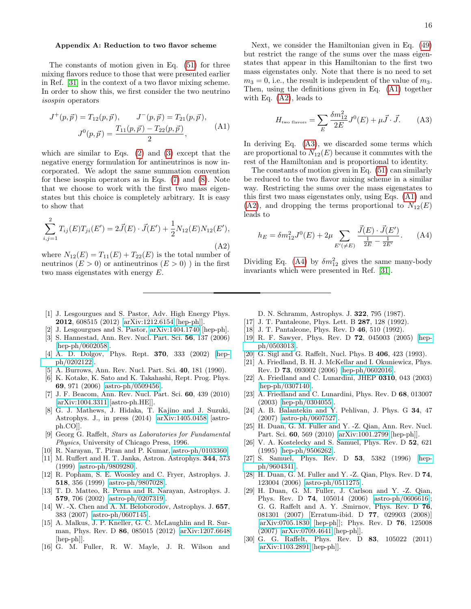### <span id="page-15-15"></span>Appendix A: Reduction to two flavor scheme

The constants of motion given in Eq. [\(51\)](#page-8-3) for three mixing flavors reduce to those that were presented earlier in Ref. [\[31\]](#page-16-0) in the context of a two flavor mixing scheme. In order to show this, we first consider the two neutrino isospin operators

<span id="page-15-17"></span>
$$
J^+(p, \vec{p}) = T_{12}(p, \vec{p}), \qquad J^-(p, \vec{p}) = T_{21}(p, \vec{p}),
$$

$$
J^0(p, \vec{p}) = \frac{T_{11}(p, \vec{p}) - T_{22}(p, \vec{p})}{2}, \qquad (A1)
$$

which are similar to Eqs. [\(2\)](#page-2-5) and [\(3\)](#page-2-6) except that the negative energy formulation for antineutrinos is now incorporated. We adopt the same summation convention for these isospin operators as in Eqs. [\(7\)](#page-2-3) and [\(8\)](#page-2-4). Note that we choose to work with the first two mass eigenstates but this choice is completely arbitrary. It is easy to show that

<span id="page-15-18"></span>
$$
\sum_{i,j=1}^{2} T_{ij}(E) T_{ji}(E') = 2\vec{J}(E) \cdot \vec{J}(E') + \frac{1}{2} N_{12}(E) N_{12}(E'),
$$
\n(A2)

where  $N_{12}(E) = T_{11}(E) + T_{22}(E)$  is the total number of neutrinos  $(E > 0)$  or antineutrinos  $(E > 0)$ ) in the first two mass eigenstates with energy E.

Next, we consider the Hamiltonian given in Eq. [\(49\)](#page-8-2) but restrict the range of the sums over the mass eigenstates that appear in this Hamiltonian to the first two mass eigenstates only. Note that there is no need to set  $m_3 = 0$ , i.e., the result is independent of the value of  $m_3$ . Then, using the definitions given in Eq. [\(A1\)](#page-15-17) together with Eq. [\(A2\)](#page-15-18), leads to

<span id="page-15-19"></span>
$$
H_{\text{two flavors}} = \sum_{E} \frac{\delta m_{12}^2}{2E} J^0(E) + \mu \vec{J} \cdot \vec{J}.
$$
 (A3)

In deriving Eq. [\(A3\)](#page-15-19), we discarded some terms which are proportional to  $N_{12}(E)$  because it commutes with the rest of the Hamiltonian and is proportional to identity.

The constants of motion given in Eq. [\(51\)](#page-8-3) can similarly be reduced to the two flavor mixing scheme in a similar way. Restricting the sums over the mass eigenstates to this first two mass eigenstates only, using Eqs. [\(A1\)](#page-15-17) and  $(A2)$ , and dropping the terms proportional to  $N_{12}(E)$ leads to

<span id="page-15-20"></span>
$$
h_E = \delta m_{12}^2 J^0(E) + 2\mu \sum_{E'(\neq E)} \frac{\vec{J}(E) \cdot \vec{J}(E')}{\frac{1}{2E} - \frac{1}{2E'}}.
$$
 (A4)

Dividing Eq. [\(A4\)](#page-15-20) by  $\delta m_{12}^2$  gives the same many-body invariants which were presented in Ref. [\[31\]](#page-16-0).

- <span id="page-15-0"></span>[1] J. Lesgourgues and S. Pastor, Adv. High Energy Phys. 2012, 608515 (2012) [\[arXiv:1212.6154](http://arxiv.org/abs/1212.6154) [hep-ph]].
- [2] J. Lesgourgues and S. Pastor, [arXiv:1404.1740](http://arxiv.org/abs/1404.1740) [hep-ph].
- [3] S. Hannestad, Ann. Rev. Nucl. Part. Sci. 56, 137 (2006) [\[hep-ph/0602058\]](http://arxiv.org/abs/hep-ph/0602058).
- <span id="page-15-1"></span>[4] A. D. Dolgov, Phys. Rept. 370, 333 (2002) [\[hep](http://arxiv.org/abs/hep-ph/0202122)[ph/0202122\]](http://arxiv.org/abs/hep-ph/0202122).
- <span id="page-15-2"></span>[5] A. Burrows, Ann. Rev. Nucl. Part. Sci. 40, 181 (1990).
- [6] K. Kotake, K. Sato and K. Takahashi, Rept. Prog. Phys. 69, 971 (2006) [\[astro-ph/0509456\]](http://arxiv.org/abs/astro-ph/0509456).
- [7] J. F. Beacom, Ann. Rev. Nucl. Part. Sci. 60, 439 (2010) [\[arXiv:1004.3311](http://arxiv.org/abs/1004.3311) [astro-ph.HE]].
- [8] G. J. Mathews, J. Hidaka, T. Kajino and J. Suzuki, Astrophys. J., in press (2014) [\[arXiv:1405.0458](http://arxiv.org/abs/1405.0458) [astroph.CO]].
- <span id="page-15-3"></span>[9] Georg G. Raffelt, Stars as Laboratories for Fundamental Physics, University of Chicago Press, 1996.
- <span id="page-15-4"></span>[10] R. Narayan, T. Piran and P. Kumar, [astro-ph/0103360.](http://arxiv.org/abs/astro-ph/0103360)
- [11] M. Ruffert and H. T. Janka, Astron. Astrophys. 344, 573 (1999) [\[astro-ph/9809280\]](http://arxiv.org/abs/astro-ph/9809280).
- [12] R. Popham, S. E. Woosley and C. Fryer, Astrophys. J. 518, 356 (1999) [\[astro-ph/9807028\]](http://arxiv.org/abs/astro-ph/9807028).
- [13] T. D. Matteo, R. Perna and R. Narayan, Astrophys. J. 579, 706 (2002) [\[astro-ph/0207319\]](http://arxiv.org/abs/astro-ph/0207319).
- [14] W. -X. Chen and A. M. Beloborodov, Astrophys. J. 657, 383 (2007) [\[astro-ph/0607145\]](http://arxiv.org/abs/astro-ph/0607145).
- <span id="page-15-5"></span>[15] A. Malkus, J. P. Kneller, G. C. McLaughlin and R. Surman, Phys. Rev. D 86, 085015 (2012) [\[arXiv:1207.6648](http://arxiv.org/abs/1207.6648) [hep-ph]].
- <span id="page-15-6"></span>[16] G. M. Fuller, R. W. Mayle, J. R. Wilson and
- D. N. Schramm, Astrophys. J. 322, 795 (1987).
- <span id="page-15-7"></span>[17] J. T. Pantaleone, Phys. Lett. B 287, 128 (1992).
- <span id="page-15-11"></span>[18] J. T. Pantaleone, Phys. Rev. D 46, 510 (1992).
- <span id="page-15-10"></span>[19] R. F. Sawyer, Phys. Rev. D 72, 045003 (2005) [\[hep](http://arxiv.org/abs/hep-ph/0503013)[ph/0503013\]](http://arxiv.org/abs/hep-ph/0503013).
- [20] G. Sigl and G. Raffelt, Nucl. Phys. B 406, 423 (1993).
- [21] A. Friedland, B. H. J. McKellar and I. Okuniewicz, Phys. Rev. D 73, 093002 (2006) [\[hep-ph/0602016\]](http://arxiv.org/abs/hep-ph/0602016).
- [22] A. Friedland and C. Lunardini, JHEP 0310, 043 (2003) [\[hep-ph/0307140\]](http://arxiv.org/abs/hep-ph/0307140).
- [23] A. Friedland and C. Lunardini, Phys. Rev. D 68, 013007 (2003) [\[hep-ph/0304055\]](http://arxiv.org/abs/hep-ph/0304055).
- <span id="page-15-16"></span>[24] A. B. Balantekin and Y. Pehlivan, J. Phys. G 34, 47 (2007) [\[astro-ph/0607527\]](http://arxiv.org/abs/astro-ph/0607527).
- <span id="page-15-8"></span>[25] H. Duan, G. M. Fuller and Y. -Z. Qian, Ann. Rev. Nucl. Part. Sci. 60, 569 (2010) [\[arXiv:1001.2799](http://arxiv.org/abs/1001.2799) [hep-ph]].
- <span id="page-15-12"></span>[26] V. A. Kostelecky and S. Samuel, Phys. Rev. D 52, 621 (1995) [\[hep-ph/9506262\]](http://arxiv.org/abs/hep-ph/9506262).
- <span id="page-15-13"></span>[27] S. Samuel, Phys. Rev. D 53, 5382 (1996) [\[hep](http://arxiv.org/abs/hep-ph/9604341)[ph/9604341\]](http://arxiv.org/abs/hep-ph/9604341).
- [28] H. Duan, G. M. Fuller and Y. -Z. Qian, Phys. Rev. D 74, 123004 (2006) [\[astro-ph/0511275\]](http://arxiv.org/abs/astro-ph/0511275).
- <span id="page-15-14"></span>[29] H. Duan, G. M. Fuller, J. Carlson and Y. -Z. Qian, Phys. Rev. D 74, 105014 (2006) [\[astro-ph/0606616\]](http://arxiv.org/abs/astro-ph/0606616); G. G. Raffelt and A. Y. .Smirnov, Phys. Rev. D 76, 081301 (2007) [Erratum-ibid. D 77, 029903 (2008)] [\[arXiv:0705.1830](http://arxiv.org/abs/0705.1830) [hep-ph]]; Phys. Rev. D 76, 125008 (2007) [\[arXiv:0709.4641](http://arxiv.org/abs/0709.4641) [hep-ph]].
- <span id="page-15-9"></span>[30] G. G. Raffelt, Phys. Rev. D 83, 105022 (2011) [\[arXiv:1103.2891](http://arxiv.org/abs/1103.2891) [hep-ph]].